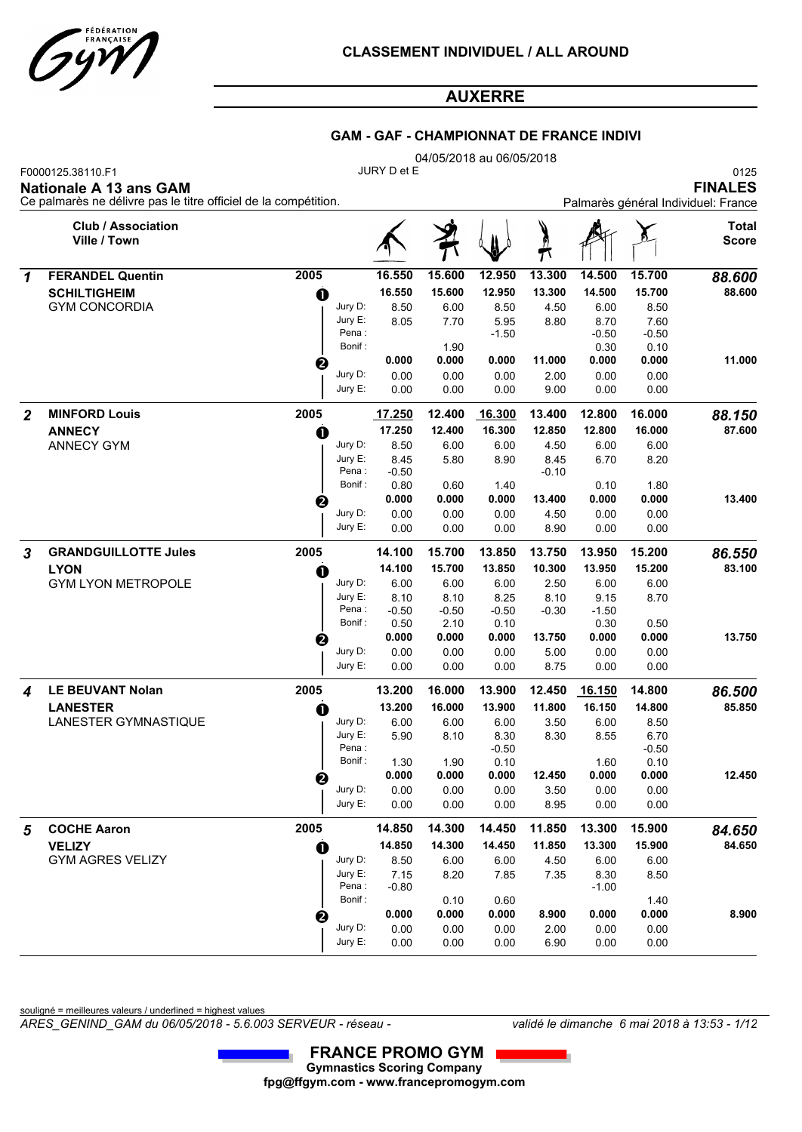

### **GAM - GAF - CHAMPIONNAT DE FRANCE INDIVI**

04/05/2018 au 06/05/2018

F0000125.38110.F1 0125 JURY D et E

**Nationale A 13 ans GAM** 

|                                | -- - - - -     |
|--------------------------------|----------------|
|                                | <b>FINALES</b> |
| rès général Individuel: France |                |

| <b>Club / Association</b><br><b>Total</b><br>Ville / Town<br><b>Score</b><br>ŋ<br>π<br>2005<br>16.550<br>15.600<br>12.950<br>13.300<br>14.500<br>15.700<br><b>FERANDEL Quentin</b><br>88.600<br>1<br>15.600<br>12.950<br>88.600<br><b>SCHILTIGHEIM</b><br>16.550<br>13.300<br>14.500<br>15.700<br>O<br>Jury D:<br><b>GYM CONCORDIA</b><br>8.50<br>6.00<br>6.00<br>8.50<br>8.50<br>4.50<br>Jury E:<br>8.05<br>7.70<br>8.70<br>7.60<br>5.95<br>8.80<br>Pena:<br>$-0.50$<br>$-0.50$<br>$-1.50$<br>Bonif:<br>1.90<br>0.30<br>0.10<br>11.000<br>0.000<br>0.000<br>0.000<br>11.000<br>0.000<br>0.000<br>❷<br>Jury D:<br>0.00<br>0.00<br>0.00<br>0.00<br>0.00<br>2.00<br>Jury E:<br>0.00<br>0.00<br>0.00<br>0.00<br>0.00<br>9.00<br><b>MINFORD Louis</b><br>2005<br>12.400<br>2<br>17.250<br>16.300<br>13.400<br>12.800<br>16.000<br>88.150<br>87.600<br><b>ANNECY</b><br>17.250<br>12.400<br>16.300<br>12.850<br>12.800<br>16.000<br>$\bf{0}$<br><b>ANNECY GYM</b><br>Jury D:<br>8.50<br>6.00<br>6.00<br>4.50<br>6.00<br>6.00<br>Jury E:<br>8.45<br>5.80<br>6.70<br>8.90<br>8.45<br>8.20<br>Pena:<br>$-0.50$<br>$-0.10$<br>Bonif:<br>0.80<br>0.60<br>1.40<br>0.10<br>1.80<br>0.000<br>0.000<br>0.000<br>13.400<br>0.000<br>0.000<br>13.400<br>❷<br>Jury D:<br>0.00<br>0.00<br>0.00<br>4.50<br>0.00<br>0.00<br>Jury E:<br>0.00<br>0.00<br>0.00<br>0.00<br>8.90<br>0.00<br>2005<br><b>GRANDGUILLOTTE Jules</b><br>3<br>14.100<br>15.700<br>13.850<br>13.750<br>13.950<br>15.200<br>86.550<br>14.100<br>13.850<br>10.300<br>83.100<br>15.700<br>13.950<br>15.200<br><b>LYON</b><br>O<br>Jury D:<br><b>GYM LYON METROPOLE</b><br>6.00<br>6.00<br>2.50<br>6.00<br>6.00<br>6.00<br>Jury E:<br>8.10<br>8.10<br>9.15<br>8.25<br>8.10<br>8.70<br>Pena:<br>$-0.50$<br>$-0.50$<br>$-1.50$<br>$-0.50$<br>$-0.30$<br>Bonif:<br>0.50<br>2.10<br>0.30<br>0.50<br>0.10<br>0.000<br>13.750<br>0.000<br>0.000<br>0.000<br>13.750<br>0.000<br>❷<br>Jury D:<br>0.00<br>0.00<br>0.00<br>0.00<br>0.00<br>5.00<br>Jury E:<br>0.00<br>0.00<br>0.00<br>0.00<br>0.00<br>8.75<br>2005<br><b>LE BEUVANT Nolan</b><br>13.200<br>16.000<br>13.900<br>14.800<br>12.450<br>16.150<br>86.500<br>4<br>13.200<br>16.000<br>13.900<br>11.800<br>85.850<br>16.150<br>14.800<br><b>LANESTER</b><br>O<br>Jury D:<br>LANESTER GYMNASTIQUE<br>6.00<br>6.00<br>6.00<br>6.00<br>8.50<br>3.50<br>Jury E:<br>5.90<br>8.10<br>8.30<br>8.55<br>6.70<br>8.30<br>Pena:<br>$-0.50$<br>$-0.50$<br>Bonif:<br>1.30<br>1.90<br>0.10<br>1.60<br>0.10 |
|-----------------------------------------------------------------------------------------------------------------------------------------------------------------------------------------------------------------------------------------------------------------------------------------------------------------------------------------------------------------------------------------------------------------------------------------------------------------------------------------------------------------------------------------------------------------------------------------------------------------------------------------------------------------------------------------------------------------------------------------------------------------------------------------------------------------------------------------------------------------------------------------------------------------------------------------------------------------------------------------------------------------------------------------------------------------------------------------------------------------------------------------------------------------------------------------------------------------------------------------------------------------------------------------------------------------------------------------------------------------------------------------------------------------------------------------------------------------------------------------------------------------------------------------------------------------------------------------------------------------------------------------------------------------------------------------------------------------------------------------------------------------------------------------------------------------------------------------------------------------------------------------------------------------------------------------------------------------------------------------------------------------------------------------------------------------------------------------------------------------------------------------------------------------------------------------------------------------------------------------------------------------------------------------------------------------------------------------------------------------------------------------------------------------------------------------------------------------------------------------|
|                                                                                                                                                                                                                                                                                                                                                                                                                                                                                                                                                                                                                                                                                                                                                                                                                                                                                                                                                                                                                                                                                                                                                                                                                                                                                                                                                                                                                                                                                                                                                                                                                                                                                                                                                                                                                                                                                                                                                                                                                                                                                                                                                                                                                                                                                                                                                                                                                                                                                         |
|                                                                                                                                                                                                                                                                                                                                                                                                                                                                                                                                                                                                                                                                                                                                                                                                                                                                                                                                                                                                                                                                                                                                                                                                                                                                                                                                                                                                                                                                                                                                                                                                                                                                                                                                                                                                                                                                                                                                                                                                                                                                                                                                                                                                                                                                                                                                                                                                                                                                                         |
|                                                                                                                                                                                                                                                                                                                                                                                                                                                                                                                                                                                                                                                                                                                                                                                                                                                                                                                                                                                                                                                                                                                                                                                                                                                                                                                                                                                                                                                                                                                                                                                                                                                                                                                                                                                                                                                                                                                                                                                                                                                                                                                                                                                                                                                                                                                                                                                                                                                                                         |
|                                                                                                                                                                                                                                                                                                                                                                                                                                                                                                                                                                                                                                                                                                                                                                                                                                                                                                                                                                                                                                                                                                                                                                                                                                                                                                                                                                                                                                                                                                                                                                                                                                                                                                                                                                                                                                                                                                                                                                                                                                                                                                                                                                                                                                                                                                                                                                                                                                                                                         |
|                                                                                                                                                                                                                                                                                                                                                                                                                                                                                                                                                                                                                                                                                                                                                                                                                                                                                                                                                                                                                                                                                                                                                                                                                                                                                                                                                                                                                                                                                                                                                                                                                                                                                                                                                                                                                                                                                                                                                                                                                                                                                                                                                                                                                                                                                                                                                                                                                                                                                         |
|                                                                                                                                                                                                                                                                                                                                                                                                                                                                                                                                                                                                                                                                                                                                                                                                                                                                                                                                                                                                                                                                                                                                                                                                                                                                                                                                                                                                                                                                                                                                                                                                                                                                                                                                                                                                                                                                                                                                                                                                                                                                                                                                                                                                                                                                                                                                                                                                                                                                                         |
|                                                                                                                                                                                                                                                                                                                                                                                                                                                                                                                                                                                                                                                                                                                                                                                                                                                                                                                                                                                                                                                                                                                                                                                                                                                                                                                                                                                                                                                                                                                                                                                                                                                                                                                                                                                                                                                                                                                                                                                                                                                                                                                                                                                                                                                                                                                                                                                                                                                                                         |
|                                                                                                                                                                                                                                                                                                                                                                                                                                                                                                                                                                                                                                                                                                                                                                                                                                                                                                                                                                                                                                                                                                                                                                                                                                                                                                                                                                                                                                                                                                                                                                                                                                                                                                                                                                                                                                                                                                                                                                                                                                                                                                                                                                                                                                                                                                                                                                                                                                                                                         |
|                                                                                                                                                                                                                                                                                                                                                                                                                                                                                                                                                                                                                                                                                                                                                                                                                                                                                                                                                                                                                                                                                                                                                                                                                                                                                                                                                                                                                                                                                                                                                                                                                                                                                                                                                                                                                                                                                                                                                                                                                                                                                                                                                                                                                                                                                                                                                                                                                                                                                         |
|                                                                                                                                                                                                                                                                                                                                                                                                                                                                                                                                                                                                                                                                                                                                                                                                                                                                                                                                                                                                                                                                                                                                                                                                                                                                                                                                                                                                                                                                                                                                                                                                                                                                                                                                                                                                                                                                                                                                                                                                                                                                                                                                                                                                                                                                                                                                                                                                                                                                                         |
|                                                                                                                                                                                                                                                                                                                                                                                                                                                                                                                                                                                                                                                                                                                                                                                                                                                                                                                                                                                                                                                                                                                                                                                                                                                                                                                                                                                                                                                                                                                                                                                                                                                                                                                                                                                                                                                                                                                                                                                                                                                                                                                                                                                                                                                                                                                                                                                                                                                                                         |
|                                                                                                                                                                                                                                                                                                                                                                                                                                                                                                                                                                                                                                                                                                                                                                                                                                                                                                                                                                                                                                                                                                                                                                                                                                                                                                                                                                                                                                                                                                                                                                                                                                                                                                                                                                                                                                                                                                                                                                                                                                                                                                                                                                                                                                                                                                                                                                                                                                                                                         |
|                                                                                                                                                                                                                                                                                                                                                                                                                                                                                                                                                                                                                                                                                                                                                                                                                                                                                                                                                                                                                                                                                                                                                                                                                                                                                                                                                                                                                                                                                                                                                                                                                                                                                                                                                                                                                                                                                                                                                                                                                                                                                                                                                                                                                                                                                                                                                                                                                                                                                         |
|                                                                                                                                                                                                                                                                                                                                                                                                                                                                                                                                                                                                                                                                                                                                                                                                                                                                                                                                                                                                                                                                                                                                                                                                                                                                                                                                                                                                                                                                                                                                                                                                                                                                                                                                                                                                                                                                                                                                                                                                                                                                                                                                                                                                                                                                                                                                                                                                                                                                                         |
|                                                                                                                                                                                                                                                                                                                                                                                                                                                                                                                                                                                                                                                                                                                                                                                                                                                                                                                                                                                                                                                                                                                                                                                                                                                                                                                                                                                                                                                                                                                                                                                                                                                                                                                                                                                                                                                                                                                                                                                                                                                                                                                                                                                                                                                                                                                                                                                                                                                                                         |
|                                                                                                                                                                                                                                                                                                                                                                                                                                                                                                                                                                                                                                                                                                                                                                                                                                                                                                                                                                                                                                                                                                                                                                                                                                                                                                                                                                                                                                                                                                                                                                                                                                                                                                                                                                                                                                                                                                                                                                                                                                                                                                                                                                                                                                                                                                                                                                                                                                                                                         |
|                                                                                                                                                                                                                                                                                                                                                                                                                                                                                                                                                                                                                                                                                                                                                                                                                                                                                                                                                                                                                                                                                                                                                                                                                                                                                                                                                                                                                                                                                                                                                                                                                                                                                                                                                                                                                                                                                                                                                                                                                                                                                                                                                                                                                                                                                                                                                                                                                                                                                         |
|                                                                                                                                                                                                                                                                                                                                                                                                                                                                                                                                                                                                                                                                                                                                                                                                                                                                                                                                                                                                                                                                                                                                                                                                                                                                                                                                                                                                                                                                                                                                                                                                                                                                                                                                                                                                                                                                                                                                                                                                                                                                                                                                                                                                                                                                                                                                                                                                                                                                                         |
|                                                                                                                                                                                                                                                                                                                                                                                                                                                                                                                                                                                                                                                                                                                                                                                                                                                                                                                                                                                                                                                                                                                                                                                                                                                                                                                                                                                                                                                                                                                                                                                                                                                                                                                                                                                                                                                                                                                                                                                                                                                                                                                                                                                                                                                                                                                                                                                                                                                                                         |
|                                                                                                                                                                                                                                                                                                                                                                                                                                                                                                                                                                                                                                                                                                                                                                                                                                                                                                                                                                                                                                                                                                                                                                                                                                                                                                                                                                                                                                                                                                                                                                                                                                                                                                                                                                                                                                                                                                                                                                                                                                                                                                                                                                                                                                                                                                                                                                                                                                                                                         |
|                                                                                                                                                                                                                                                                                                                                                                                                                                                                                                                                                                                                                                                                                                                                                                                                                                                                                                                                                                                                                                                                                                                                                                                                                                                                                                                                                                                                                                                                                                                                                                                                                                                                                                                                                                                                                                                                                                                                                                                                                                                                                                                                                                                                                                                                                                                                                                                                                                                                                         |
|                                                                                                                                                                                                                                                                                                                                                                                                                                                                                                                                                                                                                                                                                                                                                                                                                                                                                                                                                                                                                                                                                                                                                                                                                                                                                                                                                                                                                                                                                                                                                                                                                                                                                                                                                                                                                                                                                                                                                                                                                                                                                                                                                                                                                                                                                                                                                                                                                                                                                         |
|                                                                                                                                                                                                                                                                                                                                                                                                                                                                                                                                                                                                                                                                                                                                                                                                                                                                                                                                                                                                                                                                                                                                                                                                                                                                                                                                                                                                                                                                                                                                                                                                                                                                                                                                                                                                                                                                                                                                                                                                                                                                                                                                                                                                                                                                                                                                                                                                                                                                                         |
|                                                                                                                                                                                                                                                                                                                                                                                                                                                                                                                                                                                                                                                                                                                                                                                                                                                                                                                                                                                                                                                                                                                                                                                                                                                                                                                                                                                                                                                                                                                                                                                                                                                                                                                                                                                                                                                                                                                                                                                                                                                                                                                                                                                                                                                                                                                                                                                                                                                                                         |
|                                                                                                                                                                                                                                                                                                                                                                                                                                                                                                                                                                                                                                                                                                                                                                                                                                                                                                                                                                                                                                                                                                                                                                                                                                                                                                                                                                                                                                                                                                                                                                                                                                                                                                                                                                                                                                                                                                                                                                                                                                                                                                                                                                                                                                                                                                                                                                                                                                                                                         |
|                                                                                                                                                                                                                                                                                                                                                                                                                                                                                                                                                                                                                                                                                                                                                                                                                                                                                                                                                                                                                                                                                                                                                                                                                                                                                                                                                                                                                                                                                                                                                                                                                                                                                                                                                                                                                                                                                                                                                                                                                                                                                                                                                                                                                                                                                                                                                                                                                                                                                         |
|                                                                                                                                                                                                                                                                                                                                                                                                                                                                                                                                                                                                                                                                                                                                                                                                                                                                                                                                                                                                                                                                                                                                                                                                                                                                                                                                                                                                                                                                                                                                                                                                                                                                                                                                                                                                                                                                                                                                                                                                                                                                                                                                                                                                                                                                                                                                                                                                                                                                                         |
|                                                                                                                                                                                                                                                                                                                                                                                                                                                                                                                                                                                                                                                                                                                                                                                                                                                                                                                                                                                                                                                                                                                                                                                                                                                                                                                                                                                                                                                                                                                                                                                                                                                                                                                                                                                                                                                                                                                                                                                                                                                                                                                                                                                                                                                                                                                                                                                                                                                                                         |
|                                                                                                                                                                                                                                                                                                                                                                                                                                                                                                                                                                                                                                                                                                                                                                                                                                                                                                                                                                                                                                                                                                                                                                                                                                                                                                                                                                                                                                                                                                                                                                                                                                                                                                                                                                                                                                                                                                                                                                                                                                                                                                                                                                                                                                                                                                                                                                                                                                                                                         |
|                                                                                                                                                                                                                                                                                                                                                                                                                                                                                                                                                                                                                                                                                                                                                                                                                                                                                                                                                                                                                                                                                                                                                                                                                                                                                                                                                                                                                                                                                                                                                                                                                                                                                                                                                                                                                                                                                                                                                                                                                                                                                                                                                                                                                                                                                                                                                                                                                                                                                         |
|                                                                                                                                                                                                                                                                                                                                                                                                                                                                                                                                                                                                                                                                                                                                                                                                                                                                                                                                                                                                                                                                                                                                                                                                                                                                                                                                                                                                                                                                                                                                                                                                                                                                                                                                                                                                                                                                                                                                                                                                                                                                                                                                                                                                                                                                                                                                                                                                                                                                                         |
|                                                                                                                                                                                                                                                                                                                                                                                                                                                                                                                                                                                                                                                                                                                                                                                                                                                                                                                                                                                                                                                                                                                                                                                                                                                                                                                                                                                                                                                                                                                                                                                                                                                                                                                                                                                                                                                                                                                                                                                                                                                                                                                                                                                                                                                                                                                                                                                                                                                                                         |
|                                                                                                                                                                                                                                                                                                                                                                                                                                                                                                                                                                                                                                                                                                                                                                                                                                                                                                                                                                                                                                                                                                                                                                                                                                                                                                                                                                                                                                                                                                                                                                                                                                                                                                                                                                                                                                                                                                                                                                                                                                                                                                                                                                                                                                                                                                                                                                                                                                                                                         |
| 12.450<br>0.000<br>0.000<br>0.000<br>12.450<br>0.000<br>0.000                                                                                                                                                                                                                                                                                                                                                                                                                                                                                                                                                                                                                                                                                                                                                                                                                                                                                                                                                                                                                                                                                                                                                                                                                                                                                                                                                                                                                                                                                                                                                                                                                                                                                                                                                                                                                                                                                                                                                                                                                                                                                                                                                                                                                                                                                                                                                                                                                           |
| 2<br>Jury D:<br>0.00<br>0.00<br>0.00<br>3.50<br>0.00<br>0.00                                                                                                                                                                                                                                                                                                                                                                                                                                                                                                                                                                                                                                                                                                                                                                                                                                                                                                                                                                                                                                                                                                                                                                                                                                                                                                                                                                                                                                                                                                                                                                                                                                                                                                                                                                                                                                                                                                                                                                                                                                                                                                                                                                                                                                                                                                                                                                                                                            |
| Jury E:<br>0.00<br>0.00<br>0.00<br>8.95<br>0.00<br>0.00                                                                                                                                                                                                                                                                                                                                                                                                                                                                                                                                                                                                                                                                                                                                                                                                                                                                                                                                                                                                                                                                                                                                                                                                                                                                                                                                                                                                                                                                                                                                                                                                                                                                                                                                                                                                                                                                                                                                                                                                                                                                                                                                                                                                                                                                                                                                                                                                                                 |
|                                                                                                                                                                                                                                                                                                                                                                                                                                                                                                                                                                                                                                                                                                                                                                                                                                                                                                                                                                                                                                                                                                                                                                                                                                                                                                                                                                                                                                                                                                                                                                                                                                                                                                                                                                                                                                                                                                                                                                                                                                                                                                                                                                                                                                                                                                                                                                                                                                                                                         |
| <b>COCHE Aaron</b><br>2005<br>14.850<br>14.300<br>14.450<br>11.850<br>13.300<br>15.900<br>84.650<br>5                                                                                                                                                                                                                                                                                                                                                                                                                                                                                                                                                                                                                                                                                                                                                                                                                                                                                                                                                                                                                                                                                                                                                                                                                                                                                                                                                                                                                                                                                                                                                                                                                                                                                                                                                                                                                                                                                                                                                                                                                                                                                                                                                                                                                                                                                                                                                                                   |
| 84.650<br><b>VELIZY</b><br>14.850<br>14.300<br>14.450<br>11.850<br>13.300<br>15.900<br>O                                                                                                                                                                                                                                                                                                                                                                                                                                                                                                                                                                                                                                                                                                                                                                                                                                                                                                                                                                                                                                                                                                                                                                                                                                                                                                                                                                                                                                                                                                                                                                                                                                                                                                                                                                                                                                                                                                                                                                                                                                                                                                                                                                                                                                                                                                                                                                                                |
| <b>GYM AGRES VELIZY</b><br>Jury D:<br>8.50<br>6.00<br>6.00<br>6.00<br>6.00<br>4.50                                                                                                                                                                                                                                                                                                                                                                                                                                                                                                                                                                                                                                                                                                                                                                                                                                                                                                                                                                                                                                                                                                                                                                                                                                                                                                                                                                                                                                                                                                                                                                                                                                                                                                                                                                                                                                                                                                                                                                                                                                                                                                                                                                                                                                                                                                                                                                                                      |
|                                                                                                                                                                                                                                                                                                                                                                                                                                                                                                                                                                                                                                                                                                                                                                                                                                                                                                                                                                                                                                                                                                                                                                                                                                                                                                                                                                                                                                                                                                                                                                                                                                                                                                                                                                                                                                                                                                                                                                                                                                                                                                                                                                                                                                                                                                                                                                                                                                                                                         |
| Jury E:<br>7.15<br>8.20<br>8.30<br>8.50<br>7.85<br>7.35                                                                                                                                                                                                                                                                                                                                                                                                                                                                                                                                                                                                                                                                                                                                                                                                                                                                                                                                                                                                                                                                                                                                                                                                                                                                                                                                                                                                                                                                                                                                                                                                                                                                                                                                                                                                                                                                                                                                                                                                                                                                                                                                                                                                                                                                                                                                                                                                                                 |
| Pena:<br>$-0.80$<br>$-1.00$                                                                                                                                                                                                                                                                                                                                                                                                                                                                                                                                                                                                                                                                                                                                                                                                                                                                                                                                                                                                                                                                                                                                                                                                                                                                                                                                                                                                                                                                                                                                                                                                                                                                                                                                                                                                                                                                                                                                                                                                                                                                                                                                                                                                                                                                                                                                                                                                                                                             |
| Bonif:<br>0.10<br>0.60<br>1.40                                                                                                                                                                                                                                                                                                                                                                                                                                                                                                                                                                                                                                                                                                                                                                                                                                                                                                                                                                                                                                                                                                                                                                                                                                                                                                                                                                                                                                                                                                                                                                                                                                                                                                                                                                                                                                                                                                                                                                                                                                                                                                                                                                                                                                                                                                                                                                                                                                                          |
| 0.000<br>0.000<br>8.900<br>0.000<br>8.900<br>0.000<br>0.000<br>Jury D:<br>0.00<br>0.00<br>0.00<br>0.00<br>2.00<br>0.00                                                                                                                                                                                                                                                                                                                                                                                                                                                                                                                                                                                                                                                                                                                                                                                                                                                                                                                                                                                                                                                                                                                                                                                                                                                                                                                                                                                                                                                                                                                                                                                                                                                                                                                                                                                                                                                                                                                                                                                                                                                                                                                                                                                                                                                                                                                                                                  |

souligné = meilleures valeurs / underlined = highest values

*ARES\_GENIND\_GAM du 06/05/2018 - 5.6.003 SERVEUR - réseau - validé le dimanche 6 mai 2018 à 13:53 - 1/12*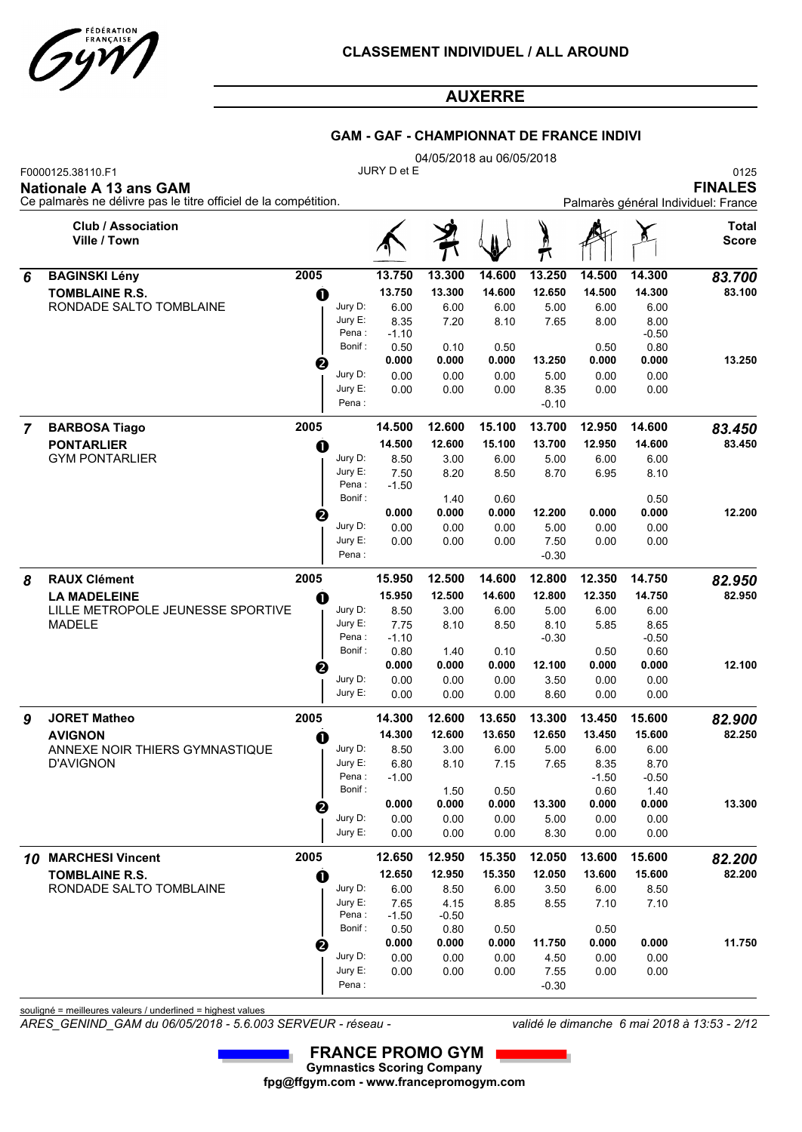

### **GAM - GAF - CHAMPIONNAT DE FRANCE INDIVI**

|   |                                                                 | 04/05/2018 au 06/05/2018<br>JURY D et E |                  |               |               |               |         |               |                 |                                     |  |  |  |
|---|-----------------------------------------------------------------|-----------------------------------------|------------------|---------------|---------------|---------------|---------|---------------|-----------------|-------------------------------------|--|--|--|
|   | F0000125.38110.F1<br><b>Nationale A 13 ans GAM</b>              |                                         |                  |               |               |               |         |               |                 | 0125<br><b>FINALES</b>              |  |  |  |
|   | Ce palmarès ne délivre pas le titre officiel de la compétition. |                                         |                  |               |               |               |         |               |                 | Palmarès général Individuel: France |  |  |  |
|   | <b>Club / Association</b><br>Ville / Town                       |                                         |                  |               |               |               |         |               |                 | <b>Total</b><br><b>Score</b>        |  |  |  |
| 6 | <b>BAGINSKI Lény</b>                                            | 2005                                    |                  | 13.750        | 13.300        | 14.600        | 13.250  | 14.500        | 14.300          | 83.700                              |  |  |  |
|   | <b>TOMBLAINE R.S.</b>                                           | O                                       |                  | 13.750        | 13.300        | 14.600        | 12.650  | 14.500        | 14.300          | 83.100                              |  |  |  |
|   | RONDADE SALTO TOMBLAINE                                         |                                         | Jury D:          | 6.00          | 6.00          | 6.00          | 5.00    | 6.00          | 6.00            |                                     |  |  |  |
|   |                                                                 |                                         | Jury E:          | 8.35          | 7.20          | 8.10          | 7.65    | 8.00          | 8.00            |                                     |  |  |  |
|   |                                                                 |                                         | Pena:<br>Bonif:  | $-1.10$       |               |               |         |               | $-0.50$<br>0.80 |                                     |  |  |  |
|   |                                                                 |                                         |                  | 0.50<br>0.000 | 0.10<br>0.000 | 0.50<br>0.000 | 13.250  | 0.50<br>0.000 | 0.000           | 13.250                              |  |  |  |
|   |                                                                 | ❷                                       | Jury D:          | 0.00          | 0.00          | 0.00          | 5.00    | 0.00          | 0.00            |                                     |  |  |  |
|   |                                                                 |                                         | Jury E:          | 0.00          | 0.00          | 0.00          | 8.35    | 0.00          | 0.00            |                                     |  |  |  |
|   |                                                                 |                                         | Pena :           |               |               |               | -0.10   |               |                 |                                     |  |  |  |
| 7 | <b>BARBOSA Tiago</b>                                            | 2005                                    |                  | 14.500        | 12.600        | 15.100        | 13.700  | 12.950        | 14.600          | 83.450                              |  |  |  |
|   | <b>PONTARLIER</b>                                               | O                                       |                  | 14.500        | 12.600        | 15.100        | 13.700  | 12.950        | 14.600          | 83.450                              |  |  |  |
|   | <b>GYM PONTARLIER</b>                                           |                                         | Jury D:          | 8.50          | 3.00          | 6.00          | 5.00    | 6.00          | 6.00            |                                     |  |  |  |
|   |                                                                 |                                         | Jury E:          | 7.50          | 8.20          | 8.50          | 8.70    | 6.95          | 8.10            |                                     |  |  |  |
|   |                                                                 |                                         | Pena:<br>Bonif:  | $-1.50$       |               | 0.60          |         |               |                 |                                     |  |  |  |
|   |                                                                 |                                         |                  | 0.000         | 1.40<br>0.000 | 0.000         | 12.200  | 0.000         | 0.50<br>0.000   | 12.200                              |  |  |  |
|   |                                                                 | ❷                                       | Jury D:          | 0.00          | 0.00          | 0.00          | 5.00    | 0.00          | 0.00            |                                     |  |  |  |
|   |                                                                 |                                         | Jury E:          | 0.00          | 0.00          | 0.00          | 7.50    | 0.00          | 0.00            |                                     |  |  |  |
|   |                                                                 |                                         | Pena:            |               |               |               | $-0.30$ |               |                 |                                     |  |  |  |
| 8 | <b>RAUX Clément</b>                                             | 2005                                    |                  | 15.950        | 12.500        | 14.600        | 12.800  | 12.350        | 14.750          | 82.950                              |  |  |  |
|   | <b>LA MADELEINE</b>                                             | O                                       |                  | 15.950        | 12.500        | 14.600        | 12.800  | 12.350        | 14.750          | 82.950                              |  |  |  |
|   | LILLE METROPOLE JEUNESSE SPORTIVE                               |                                         | Jury D:          | 8.50          | 3.00          | 6.00          | 5.00    | 6.00          | 6.00            |                                     |  |  |  |
|   | <b>MADELE</b>                                                   |                                         | Jury E:          | 7.75          | 8.10          | 8.50          | 8.10    | 5.85          | 8.65            |                                     |  |  |  |
|   |                                                                 |                                         | Pena:<br>Bonif:  | $-1.10$       |               | 0.10          | -0.30   |               | $-0.50$<br>0.60 |                                     |  |  |  |
|   |                                                                 |                                         |                  | 0.80<br>0.000 | 1.40<br>0.000 | 0.000         | 12.100  | 0.50<br>0.000 | 0.000           | 12.100                              |  |  |  |
|   |                                                                 | ❷                                       | Jury D:          | 0.00          | 0.00          | 0.00          | 3.50    | 0.00          | 0.00            |                                     |  |  |  |
|   |                                                                 |                                         | Jury E:          | 0.00          | 0.00          | 0.00          | 8.60    | 0.00          | 0.00            |                                     |  |  |  |
| 9 | <b>JORET Matheo</b>                                             | 2005                                    |                  | 14.300        | 12.600        | 13.650        | 13.300  | 13.450        | 15.600          | 82.900                              |  |  |  |
|   | <b>AVIGNON</b>                                                  | O                                       |                  | 14.300        | 12.600        | 13.650        | 12.650  | 13.450        | 15.600          | 82.250                              |  |  |  |
|   | ANNEXE NOIR THIERS GYMNASTIQUE                                  |                                         | Jury D:          | 8.50          | 3.00          | 6.00          | 5.00    | 6.00          | 6.00            |                                     |  |  |  |
|   | <b>D'AVIGNON</b>                                                |                                         | Jury E:          | 6.80          | 8.10          | 7.15          | 7.65    | 8.35          | 8.70            |                                     |  |  |  |
|   |                                                                 |                                         | Pena :<br>Bonif: | $-1.00$       |               |               |         | $-1.50$       | $-0.50$         |                                     |  |  |  |
|   |                                                                 |                                         |                  | 0.000         | 1.50<br>0.000 | 0.50<br>0.000 | 13.300  | 0.60<br>0.000 | 1.40<br>0.000   | 13.300                              |  |  |  |
|   |                                                                 | ❷                                       | Jury D:          | 0.00          | 0.00          | 0.00          | 5.00    | 0.00          | 0.00            |                                     |  |  |  |
|   |                                                                 |                                         | Jury E:          | 0.00          | 0.00          | 0.00          | 8.30    | 0.00          | 0.00            |                                     |  |  |  |
|   | 10 MARCHESI Vincent                                             | 2005                                    |                  | 12.650        | 12.950        | 15.350        | 12.050  | 13.600        | 15.600          | 82.200                              |  |  |  |
|   | <b>TOMBLAINE R.S.</b>                                           | $\bf{0}$                                |                  | 12.650        | 12.950        | 15.350        | 12.050  | 13.600        | 15.600          | 82.200                              |  |  |  |
|   | RONDADE SALTO TOMBLAINE                                         |                                         | Jury D:          | 6.00          | 8.50          | 6.00          | 3.50    | 6.00          | 8.50            |                                     |  |  |  |
|   |                                                                 |                                         | Jury E:          | 7.65          | 4.15          | 8.85          | 8.55    | 7.10          | 7.10            |                                     |  |  |  |
|   |                                                                 |                                         | Pena :           | $-1.50$       | $-0.50$       |               |         |               |                 |                                     |  |  |  |
|   |                                                                 |                                         | Bonif :          | 0.50<br>0.000 | 0.80<br>0.000 | 0.50<br>0.000 | 11.750  | 0.50<br>0.000 | 0.000           | 11.750                              |  |  |  |
|   |                                                                 | €                                       | Jury D:          | 0.00          | 0.00          | 0.00          | 4.50    | 0.00          | 0.00            |                                     |  |  |  |
|   |                                                                 |                                         | Jury E:          | 0.00          | 0.00          | 0.00          | 7.55    | 0.00          | 0.00            |                                     |  |  |  |
|   |                                                                 |                                         | Pena:            |               |               |               | $-0.30$ |               |                 |                                     |  |  |  |

souligné = meilleures valeurs / underlined = highest values

*ARES\_GENIND\_GAM du 06/05/2018 - 5.6.003 SERVEUR - réseau - validé le dimanche 6 mai 2018 à 13:53 - 2/12*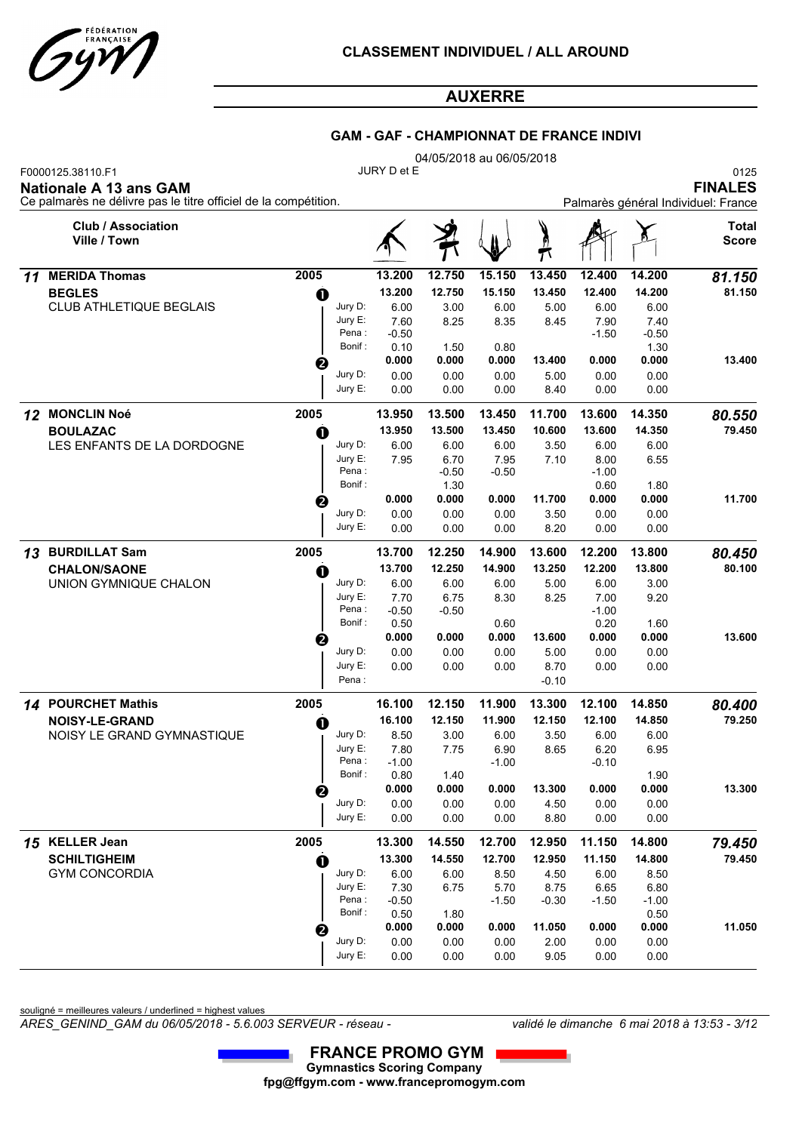

### **GAM - GAF - CHAMPIONNAT DE FRANCE INDIVI**

|    |                                                                                                                |                  |                 |               | 04/05/2018 au 06/05/2018 |                |               |                                                               |                |  |  |
|----|----------------------------------------------------------------------------------------------------------------|------------------|-----------------|---------------|--------------------------|----------------|---------------|---------------------------------------------------------------|----------------|--|--|
|    | F0000125.38110.F1<br>Nationale A 13 ans GAM<br>Ce palmarès ne délivre pas le titre officiel de la compétition. |                  | JURY D et E     |               |                          |                |               | 0125<br><b>FINALES</b><br>Palmarès général Individuel: France |                |  |  |
|    | <b>Club / Association</b><br>Ville / Town                                                                      |                  |                 |               |                          |                |               |                                                               | Total<br>Score |  |  |
| 11 | <b>MERIDA Thomas</b>                                                                                           | 2005             | 13.200          | 12.750        | 15.150                   | 13.450         | 12.400        | 14.200                                                        | 81.150         |  |  |
|    | <b>BEGLES</b>                                                                                                  | $\bf o$          | 13.200          | 12.750        | 15.150                   | 13.450         | 12.400        | 14.200                                                        | 81.150         |  |  |
|    | <b>CLUB ATHLETIQUE BEGLAIS</b>                                                                                 | Jury D:          | 6.00            | 3.00          | 6.00                     | 5.00           | 6.00          | 6.00                                                          |                |  |  |
|    |                                                                                                                | Jury E:<br>Pena: | 7.60            | 8.25          | 8.35                     | 8.45           | 7.90          | 7.40                                                          |                |  |  |
|    |                                                                                                                | Bonif:           | $-0.50$<br>0.10 | 1.50          | 0.80                     |                | $-1.50$       | $-0.50$<br>1.30                                               |                |  |  |
|    |                                                                                                                | 0                | 0.000           | 0.000         | 0.000                    | 13.400         | 0.000         | 0.000                                                         | 13.400         |  |  |
|    |                                                                                                                | Jury D:          | 0.00            | 0.00          | 0.00                     | 5.00           | 0.00          | 0.00                                                          |                |  |  |
|    |                                                                                                                | Jury E:          | 0.00            | 0.00          | 0.00                     | 8.40           | 0.00          | 0.00                                                          |                |  |  |
|    | 12 MONCLIN Noé                                                                                                 | 2005             | 13.950          | 13.500        | 13.450                   | 11.700         | 13.600        | 14.350                                                        | 80.550         |  |  |
|    | <b>BOULAZAC</b>                                                                                                | O                | 13.950          | 13.500        | 13.450                   | 10.600         | 13.600        | 14.350                                                        | 79.450         |  |  |
|    | LES ENFANTS DE LA DORDOGNE                                                                                     | Jury D:          | 6.00            | 6.00          | 6.00                     | 3.50           | 6.00          | 6.00                                                          |                |  |  |
|    |                                                                                                                | Jury E:          | 7.95            | 6.70          | 7.95                     | 7.10           | 8.00          | 6.55                                                          |                |  |  |
|    |                                                                                                                | Pena:<br>Bonif:  |                 | $-0.50$       | $-0.50$                  |                | $-1.00$       |                                                               |                |  |  |
|    |                                                                                                                |                  | 0.000           | 1.30<br>0.000 | 0.000                    | 11.700         | 0.60<br>0.000 | 1.80<br>0.000                                                 | 11.700         |  |  |
|    |                                                                                                                | ❷<br>Jury D:     | 0.00            | 0.00          | 0.00                     | 3.50           | 0.00          | 0.00                                                          |                |  |  |
|    |                                                                                                                | Jury E:          | 0.00            | 0.00          | 0.00                     | 8.20           | 0.00          | 0.00                                                          |                |  |  |
| 13 | <b>BURDILLAT Sam</b>                                                                                           | 2005             | 13.700          | 12.250        | 14.900                   | 13.600         | 12.200        | 13.800                                                        | 80.450         |  |  |
|    | <b>CHALON/SAONE</b>                                                                                            | O                | 13.700          | 12.250        | 14.900                   | 13.250         | 12.200        | 13.800                                                        | 80.100         |  |  |
|    | UNION GYMNIQUE CHALON                                                                                          | Jury D:          | 6.00            | 6.00          | 6.00                     | 5.00           | 6.00          | 3.00                                                          |                |  |  |
|    |                                                                                                                | Jury E:          | 7.70            | 6.75          | 8.30                     | 8.25           | 7.00          | 9.20                                                          |                |  |  |
|    |                                                                                                                | Pena:            | $-0.50$         | $-0.50$       |                          |                | $-1.00$       |                                                               |                |  |  |
|    |                                                                                                                | Bonif:           | 0.50            |               | 0.60                     |                | 0.20          | 1.60                                                          |                |  |  |
|    |                                                                                                                | €<br>Jury D:     | 0.000<br>0.00   | 0.000<br>0.00 | 0.000<br>0.00            | 13.600<br>5.00 | 0.000<br>0.00 | 0.000<br>0.00                                                 | 13.600         |  |  |
|    |                                                                                                                | Jury E:          | 0.00            | 0.00          | 0.00                     | 8.70           | 0.00          | 0.00                                                          |                |  |  |
|    |                                                                                                                | Pena:            |                 |               |                          | $-0.10$        |               |                                                               |                |  |  |
|    | 14 POURCHET Mathis                                                                                             | 2005             | 16.100          | 12.150        | 11.900                   | 13.300         | 12.100        | 14.850                                                        | 80.400         |  |  |
|    | <b>NOISY-LE-GRAND</b>                                                                                          | O                | 16.100          | 12.150        | 11.900                   | 12.150         | 12.100        | 14.850                                                        | 79.250         |  |  |
|    | NOISY LE GRAND GYMNASTIQUE                                                                                     | Jury D:          | 8.50            | 3.00          | 6.00                     | 3.50           | 6.00          | 6.00                                                          |                |  |  |
|    |                                                                                                                | Jury $E$ :       | 7.80            | 7.75          | 6.90                     | 8.65           | 6.20          | 6.95                                                          |                |  |  |
|    |                                                                                                                | Pena:            | $-1.00$         |               | $-1.00$                  |                | $-0.10$       |                                                               |                |  |  |
|    |                                                                                                                | Bonif:           | 0.80<br>0.000   | 1.40<br>0.000 | 0.000                    | 13.300         | 0.000         | 1.90<br>0.000                                                 | 13.300         |  |  |
|    |                                                                                                                | 0<br>Jury D:     | 0.00            | 0.00          | 0.00                     | 4.50           | 0.00          | 0.00                                                          |                |  |  |
|    |                                                                                                                | Jury E:          | 0.00            | 0.00          | 0.00                     | 8.80           | 0.00          | 0.00                                                          |                |  |  |
|    | 15 KELLER Jean                                                                                                 | 2005             | 13.300          | 14.550        | 12.700                   | 12.950         | 11.150        | 14.800                                                        | 79.450         |  |  |
|    | <b>SCHILTIGHEIM</b>                                                                                            | $\bf{0}$         | 13.300          | 14.550        | 12.700                   | 12.950         | 11.150        | 14.800                                                        | 79.450         |  |  |
|    | <b>GYM CONCORDIA</b>                                                                                           | Jury D:          | 6.00            | 6.00          | 8.50                     | 4.50           | 6.00          | 8.50                                                          |                |  |  |
|    |                                                                                                                | Jury E:          | 7.30            | 6.75          | 5.70                     | 8.75           | 6.65          | 6.80                                                          |                |  |  |
|    |                                                                                                                | Pena:            | $-0.50$         |               | $-1.50$                  | $-0.30$        | $-1.50$       | $-1.00$                                                       |                |  |  |
|    |                                                                                                                | Bonif:           | 0.50<br>0.000   | 1.80<br>0.000 | 0.000                    | 11.050         | 0.000         | 0.50<br>0.000                                                 | 11.050         |  |  |
|    |                                                                                                                | 0<br>Jury D:     | 0.00            | 0.00          | 0.00                     | 2.00           | 0.00          | 0.00                                                          |                |  |  |
|    |                                                                                                                | Jury E:          | 0.00            | 0.00          | 0.00                     | 9.05           | 0.00          | 0.00                                                          |                |  |  |

souligné = meilleures valeurs / underlined = highest values

*ARES\_GENIND\_GAM du 06/05/2018 - 5.6.003 SERVEUR - réseau - validé le dimanche 6 mai 2018 à 13:53 - 3/12*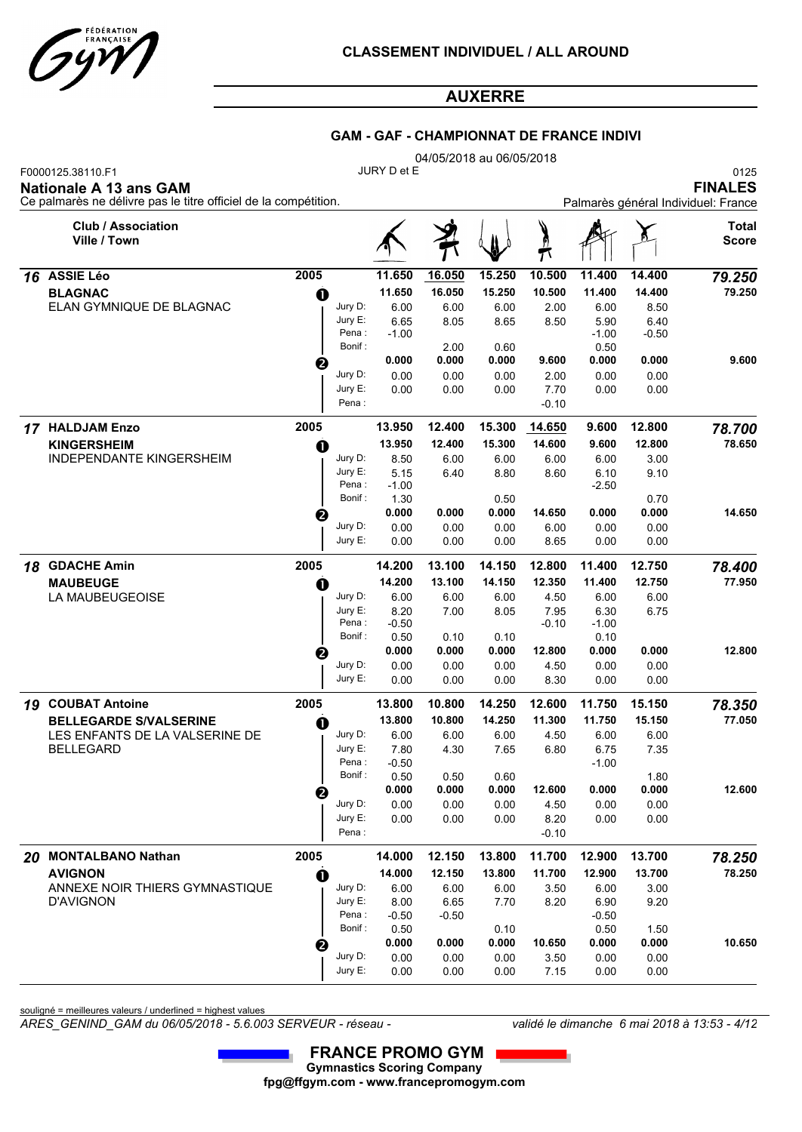

### **GAM - GAF - CHAMPIONNAT DE FRANCE INDIVI**

|    |                                                                                                                       | 04/05/2018 au 06/05/2018 |                     |                 |              |        |                 |                 |         |                                                               |  |  |  |
|----|-----------------------------------------------------------------------------------------------------------------------|--------------------------|---------------------|-----------------|--------------|--------|-----------------|-----------------|---------|---------------------------------------------------------------|--|--|--|
|    | F0000125.38110.F1<br><b>Nationale A 13 ans GAM</b><br>Ce palmarès ne délivre pas le titre officiel de la compétition. |                          |                     | JURY D et E     |              |        |                 |                 |         | 0125<br><b>FINALES</b><br>Palmarès général Individuel: France |  |  |  |
|    | <b>Club / Association</b><br>Ville / Town                                                                             |                          |                     |                 |              |        | Ò               |                 |         | <b>Total</b><br><b>Score</b>                                  |  |  |  |
|    | 16 ASSIE Léo                                                                                                          | 2005                     |                     | 11.650          | 16.050       | 15.250 | 10.500          | 11.400          | 14.400  | 79.250                                                        |  |  |  |
|    | <b>BLAGNAC</b>                                                                                                        | $\mathbf 0$              |                     | 11.650          | 16.050       | 15.250 | 10.500          | 11.400          | 14.400  | 79.250                                                        |  |  |  |
|    | ELAN GYMNIQUE DE BLAGNAC                                                                                              |                          | Jury D:             | 6.00            | 6.00         | 6.00   | 2.00            | 6.00            | 8.50    |                                                               |  |  |  |
|    |                                                                                                                       |                          | Jury E:             | 6.65            | 8.05         | 8.65   | 8.50            | 5.90            | 6.40    |                                                               |  |  |  |
|    |                                                                                                                       |                          | Pena:<br>Bonif:     | $-1.00$         | 2.00         | 0.60   |                 | $-1.00$<br>0.50 | $-0.50$ |                                                               |  |  |  |
|    |                                                                                                                       | ❷                        |                     | 0.000           | 0.000        | 0.000  | 9.600           | 0.000           | 0.000   | 9.600                                                         |  |  |  |
|    |                                                                                                                       |                          | Jury D:             | 0.00            | 0.00         | 0.00   | 2.00            | 0.00            | 0.00    |                                                               |  |  |  |
|    |                                                                                                                       |                          | Jury E:             | 0.00            | 0.00         | 0.00   | 7.70            | 0.00            | 0.00    |                                                               |  |  |  |
|    |                                                                                                                       |                          | Pena:               |                 |              |        | $-0.10$         |                 |         |                                                               |  |  |  |
|    | 17 HALDJAM Enzo                                                                                                       | 2005                     |                     | 13.950          | 12.400       | 15.300 | 14.650          | 9.600           | 12.800  | 78.700                                                        |  |  |  |
|    | <b>KINGERSHEIM</b>                                                                                                    | O                        |                     | 13.950          | 12.400       | 15.300 | 14.600          | 9.600           | 12.800  | 78.650                                                        |  |  |  |
|    | INDEPENDANTE KINGERSHEIM                                                                                              |                          | Jury D:             | 8.50            | 6.00         | 6.00   | 6.00            | 6.00            | 3.00    |                                                               |  |  |  |
|    |                                                                                                                       |                          | Jury E:<br>Pena:    | 5.15<br>$-1.00$ | 6.40         | 8.80   | 8.60            | 6.10<br>$-2.50$ | 9.10    |                                                               |  |  |  |
|    |                                                                                                                       |                          | Bonif:              | 1.30            |              | 0.50   |                 |                 | 0.70    |                                                               |  |  |  |
|    |                                                                                                                       | ❷                        |                     | 0.000           | 0.000        | 0.000  | 14.650          | 0.000           | 0.000   | 14.650                                                        |  |  |  |
|    |                                                                                                                       |                          | Jury D:             | 0.00            | 0.00         | 0.00   | 6.00            | 0.00            | 0.00    |                                                               |  |  |  |
|    |                                                                                                                       |                          | Jury E:             | 0.00            | 0.00         | 0.00   | 8.65            | 0.00            | 0.00    |                                                               |  |  |  |
| 18 | <b>GDACHE Amin</b>                                                                                                    | 2005                     |                     | 14.200          | 13.100       | 14.150 | 12.800          | 11.400          | 12.750  | 78.400                                                        |  |  |  |
|    | <b>MAUBEUGE</b>                                                                                                       | O                        |                     | 14.200          | 13.100       | 14.150 | 12.350          | 11.400          | 12.750  | 77.950                                                        |  |  |  |
|    | LA MAUBEUGEOISE                                                                                                       |                          | Jury D:             | 6.00            | 6.00         | 6.00   | 4.50            | 6.00            | 6.00    |                                                               |  |  |  |
|    |                                                                                                                       |                          | Jury E:<br>Pena:    | 8.20<br>$-0.50$ | 7.00         | 8.05   | 7.95<br>$-0.10$ | 6.30<br>$-1.00$ | 6.75    |                                                               |  |  |  |
|    |                                                                                                                       |                          | Bonif:              | 0.50            | 0.10         | 0.10   |                 | 0.10            |         |                                                               |  |  |  |
|    |                                                                                                                       | ❷                        |                     | 0.000           | 0.000        | 0.000  | 12.800          | 0.000           | 0.000   | 12.800                                                        |  |  |  |
|    |                                                                                                                       |                          | Jury D:             | 0.00            | 0.00         | 0.00   | 4.50            | 0.00            | 0.00    |                                                               |  |  |  |
|    |                                                                                                                       |                          | Jury E:             | 0.00            | 0.00         | 0.00   | 8.30            | 0.00            | 0.00    |                                                               |  |  |  |
|    | 19 COUBAT Antoine                                                                                                     | 2005                     |                     | 13.800          | 10.800       | 14.250 | 12.600          | 11.750          | 15.150  | 78.350                                                        |  |  |  |
|    | <b>BELLEGARDE S/VALSERINE</b>                                                                                         | O                        |                     | 13.800          | 10.800       | 14.250 | 11.300          | 11.750          | 15.150  | 77.050                                                        |  |  |  |
|    | LES ENFANTS DE LA VALSERINE DE                                                                                        |                          | Jury D:             | 6.00            | 6.00         | 6.00   | 4.50            | 6.00            | 6.00    |                                                               |  |  |  |
|    | <b>BELLEGARD</b>                                                                                                      |                          | Jury $E$ :<br>Pena: | 7.80<br>$-0.50$ | 4.30         | 7.65   | 6.80            | 6.75<br>$-1.00$ | 7.35    |                                                               |  |  |  |
|    |                                                                                                                       |                          | Bonif:              | 0.50            | 0.50         | 0.60   |                 |                 | 1.80    |                                                               |  |  |  |
|    |                                                                                                                       | ❷                        |                     | 0.000           | 0.000        | 0.000  | 12.600          | 0.000           | 0.000   | 12.600                                                        |  |  |  |
|    |                                                                                                                       |                          | Jury D:             | 0.00            | 0.00         | 0.00   | 4.50            | 0.00            | 0.00    |                                                               |  |  |  |
|    |                                                                                                                       |                          | Jury E:             | 0.00            | 0.00         | 0.00   | 8.20            | 0.00            | 0.00    |                                                               |  |  |  |
|    |                                                                                                                       |                          | Pena:               |                 |              |        | $-0.10$         |                 |         |                                                               |  |  |  |
|    | 20 MONTALBANO Nathan                                                                                                  | 2005                     |                     | 14.000          | 12.150       | 13.800 | 11.700          | 12.900          | 13.700  | 78.250                                                        |  |  |  |
|    | <b>AVIGNON</b>                                                                                                        | $\mathbf 0$              |                     | 14.000          | 12.150       | 13.800 | 11.700          | 12.900          | 13.700  | 78.250                                                        |  |  |  |
|    | ANNEXE NOIR THIERS GYMNASTIQUE<br><b>D'AVIGNON</b>                                                                    |                          | Jury D:<br>Jury E:  | 6.00            | 6.00<br>6.65 | 6.00   | 3.50            | 6.00            | 3.00    |                                                               |  |  |  |
|    |                                                                                                                       |                          | Pena:               | 8.00<br>$-0.50$ | $-0.50$      | 7.70   | 8.20            | 6.90<br>$-0.50$ | 9.20    |                                                               |  |  |  |
|    |                                                                                                                       |                          | Bonif:              | 0.50            |              | 0.10   |                 | 0.50            | 1.50    |                                                               |  |  |  |
|    |                                                                                                                       | ❷                        |                     | 0.000           | 0.000        | 0.000  | 10.650          | 0.000           | 0.000   | 10.650                                                        |  |  |  |
|    |                                                                                                                       |                          | Jury D:             | 0.00            | 0.00         | 0.00   | 3.50            | 0.00            | 0.00    |                                                               |  |  |  |
|    |                                                                                                                       |                          | Jury E:             | 0.00            | 0.00         | 0.00   | 7.15            | 0.00            | 0.00    |                                                               |  |  |  |

souligné = meilleures valeurs / underlined = highest values

*ARES\_GENIND\_GAM du 06/05/2018 - 5.6.003 SERVEUR - réseau - validé le dimanche 6 mai 2018 à 13:53 - 4/12*

0.00 7.15 0.00

0.00 0.00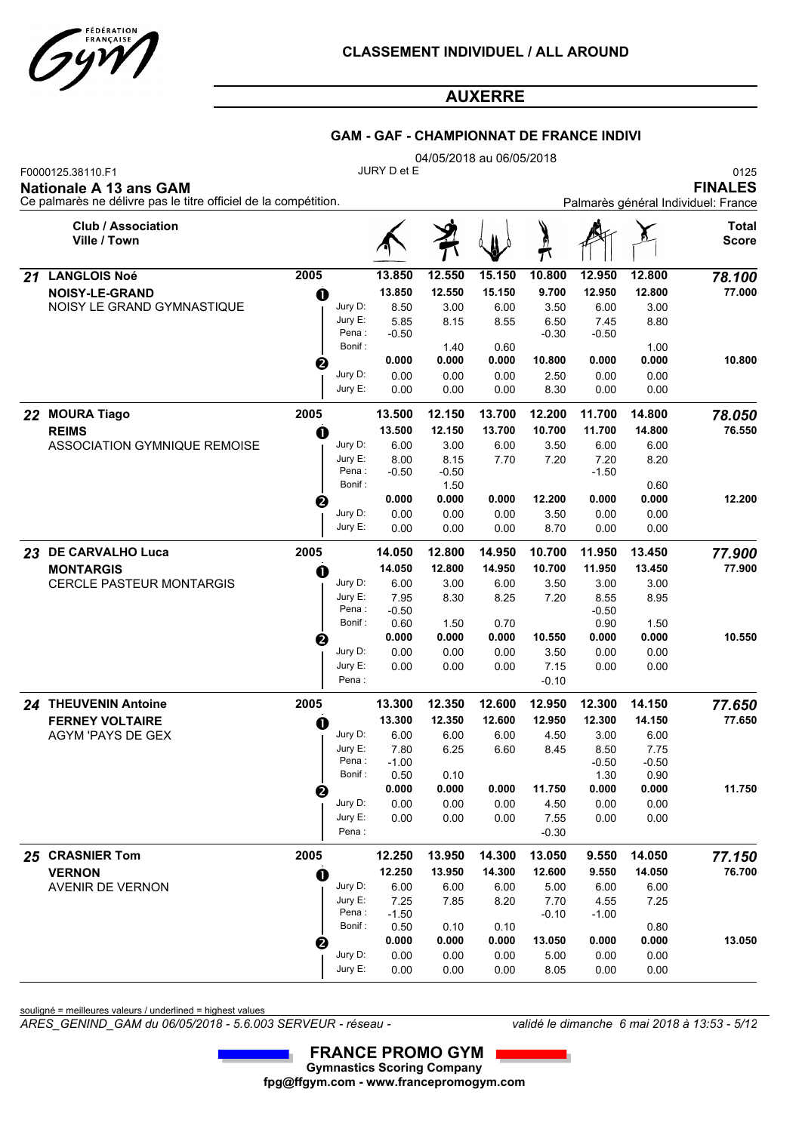

### **GAM - GAF - CHAMPIONNAT DE FRANCE INDIVI**

|    |                                                                                                                |      |                                                    |                 |                 | 04/05/2018 au 06/05/2018 |                 |                 |                 |                       |  |  |  |  |
|----|----------------------------------------------------------------------------------------------------------------|------|----------------------------------------------------|-----------------|-----------------|--------------------------|-----------------|-----------------|-----------------|-----------------------|--|--|--|--|
|    | F0000125.38110.F1<br>Nationale A 13 ans GAM<br>Ce palmarès ne délivre pas le titre officiel de la compétition. |      | JURY D et E<br>Palmarès général Individuel: France |                 |                 |                          |                 |                 |                 |                       |  |  |  |  |
|    | <b>Club / Association</b><br>Ville / Town                                                                      |      |                                                    |                 |                 |                          |                 |                 |                 | Total<br><b>Score</b> |  |  |  |  |
| 21 | <b>LANGLOIS Noé</b>                                                                                            | 2005 |                                                    | 13.850          | 12.550          | 15.150                   | 10.800          | 12.950          | 12.800          | 78.100                |  |  |  |  |
|    | <b>NOISY-LE-GRAND</b>                                                                                          | O    |                                                    | 13.850          | 12.550          | 15.150                   | 9.700           | 12.950          | 12.800          | 77.000                |  |  |  |  |
|    | NOISY LE GRAND GYMNASTIQUE                                                                                     |      | Jury D:                                            | 8.50            | 3.00            | 6.00                     | 3.50            | 6.00            | 3.00            |                       |  |  |  |  |
|    |                                                                                                                |      | Jury E:<br>Pena:                                   | 5.85<br>$-0.50$ | 8.15            | 8.55                     | 6.50<br>$-0.30$ | 7.45<br>$-0.50$ | 8.80            |                       |  |  |  |  |
|    |                                                                                                                |      | Bonif:                                             |                 | 1.40            | 0.60                     |                 |                 | 1.00            |                       |  |  |  |  |
|    |                                                                                                                | ❷    |                                                    | 0.000           | 0.000           | 0.000                    | 10.800          | 0.000           | 0.000           | 10.800                |  |  |  |  |
|    |                                                                                                                |      | Jury D:                                            | 0.00            | 0.00            | 0.00                     | 2.50            | 0.00            | 0.00            |                       |  |  |  |  |
|    |                                                                                                                |      | Jury E:                                            | 0.00            | 0.00            | 0.00                     | 8.30            | 0.00            | 0.00            |                       |  |  |  |  |
|    | 22 MOURA Tiago                                                                                                 | 2005 |                                                    | 13.500          | 12.150          | 13.700                   | 12.200          | 11.700          | 14.800          | 78.050                |  |  |  |  |
|    | <b>REIMS</b>                                                                                                   | O    |                                                    | 13.500          | 12.150          | 13.700                   | 10.700          | 11.700          | 14.800          | 76.550                |  |  |  |  |
|    | ASSOCIATION GYMNIQUE REMOISE                                                                                   |      | Jury D:                                            | 6.00            | 3.00            | 6.00                     | 3.50            | 6.00            | 6.00            |                       |  |  |  |  |
|    |                                                                                                                |      | Jury E:                                            | 8.00            | 8.15            | 7.70                     | 7.20            | 7.20            | 8.20            |                       |  |  |  |  |
|    |                                                                                                                |      | Pena :<br>Bonif:                                   | $-0.50$         | $-0.50$<br>1.50 |                          |                 | $-1.50$         | 0.60            |                       |  |  |  |  |
|    |                                                                                                                | €    |                                                    | 0.000           | 0.000           | 0.000                    | 12.200          | 0.000           | 0.000           | 12.200                |  |  |  |  |
|    |                                                                                                                |      | Jury D:                                            | 0.00            | 0.00            | 0.00                     | 3.50            | 0.00            | 0.00            |                       |  |  |  |  |
|    |                                                                                                                |      | Jury E:                                            | 0.00            | 0.00            | 0.00                     | 8.70            | 0.00            | 0.00            |                       |  |  |  |  |
|    | 23 DE CARVALHO Luca                                                                                            | 2005 |                                                    | 14.050          | 12.800          | 14.950                   | 10.700          | 11.950          | 13.450          | 77.900                |  |  |  |  |
|    | <b>MONTARGIS</b>                                                                                               | O    |                                                    | 14.050          | 12.800          | 14.950                   | 10.700          | 11.950          | 13.450          | 77.900                |  |  |  |  |
|    | <b>CERCLE PASTEUR MONTARGIS</b>                                                                                |      | Jury D:                                            | 6.00            | 3.00            | 6.00                     | 3.50            | 3.00            | 3.00            |                       |  |  |  |  |
|    |                                                                                                                |      | Jury E:                                            | 7.95            | 8.30            | 8.25                     | 7.20            | 8.55            | 8.95            |                       |  |  |  |  |
|    |                                                                                                                |      | Pena:<br>Bonif:                                    | $-0.50$<br>0.60 | 1.50            | 0.70                     |                 | $-0.50$<br>0.90 | 1.50            |                       |  |  |  |  |
|    |                                                                                                                |      |                                                    | 0.000           | 0.000           | 0.000                    | 10.550          | 0.000           | 0.000           | 10.550                |  |  |  |  |
|    |                                                                                                                | €    | Jury D:                                            | 0.00            | 0.00            | 0.00                     | 3.50            | 0.00            | 0.00            |                       |  |  |  |  |
|    |                                                                                                                |      | Jury E:                                            | 0.00            | 0.00            | 0.00                     | 7.15            | 0.00            | 0.00            |                       |  |  |  |  |
|    |                                                                                                                |      | Pena:                                              |                 |                 |                          | $-0.10$         |                 |                 |                       |  |  |  |  |
|    | 24 THEUVENIN Antoine                                                                                           | 2005 |                                                    | 13.300          | 12.350          | 12.600                   | 12.950          | 12.300          | 14.150          | 77.650                |  |  |  |  |
|    | <b>FERNEY VOLTAIRE</b>                                                                                         | O    |                                                    | 13.300          | 12.350          | 12.600                   | 12.950          | 12.300          | 14.150          | 77.650                |  |  |  |  |
|    | <b>AGYM 'PAYS DE GEX</b>                                                                                       |      | Jury D:                                            | 6.00            | 6.00            | 6.00                     | 4.50            | 3.00            | 6.00            |                       |  |  |  |  |
|    |                                                                                                                |      | Jury E:<br>Pena:                                   | 7.80<br>$-1.00$ | 6.25            | 6.60                     | 8.45            | 8.50<br>$-0.50$ | 7.75<br>$-0.50$ |                       |  |  |  |  |
|    |                                                                                                                |      | Bonif :                                            | 0.50            | 0.10            |                          |                 | 1.30            | 0.90            |                       |  |  |  |  |
|    |                                                                                                                | 0    |                                                    | 0.000           | 0.000           | 0.000                    | 11.750          | 0.000           | 0.000           | 11.750                |  |  |  |  |
|    |                                                                                                                |      | Jury D:                                            | 0.00            | 0.00            | 0.00                     | 4.50            | 0.00            | 0.00            |                       |  |  |  |  |
|    |                                                                                                                |      | Jury E:                                            | 0.00            | 0.00            | 0.00                     | 7.55            | 0.00            | 0.00            |                       |  |  |  |  |
|    |                                                                                                                |      | Pena:                                              |                 |                 |                          | $-0.30$         |                 |                 |                       |  |  |  |  |
|    | 25 CRASNIER Tom                                                                                                | 2005 |                                                    | 12.250          | 13.950          | 14.300                   | 13.050          | 9.550           | 14.050          | 77.150                |  |  |  |  |
|    | <b>VERNON</b>                                                                                                  | O    |                                                    | 12.250          | 13.950          | 14.300                   | 12.600          | 9.550           | 14.050          | 76.700                |  |  |  |  |
|    | AVENIR DE VERNON                                                                                               |      | Jury D:                                            | 6.00            | 6.00            | 6.00                     | 5.00            | 6.00            | 6.00            |                       |  |  |  |  |
|    |                                                                                                                |      | Jury E:<br>Pena :                                  | 7.25<br>$-1.50$ | 7.85            | 8.20                     | 7.70<br>$-0.10$ | 4.55<br>$-1.00$ | 7.25            |                       |  |  |  |  |
|    |                                                                                                                |      | Bonif :                                            | 0.50            | 0.10            | 0.10                     |                 |                 | 0.80            |                       |  |  |  |  |
|    |                                                                                                                | 0    |                                                    | 0.000           | 0.000           | 0.000                    | 13.050          | 0.000           | 0.000           | 13.050                |  |  |  |  |
|    |                                                                                                                |      | Jury D:                                            | 0.00            | 0.00            | 0.00                     | 5.00            | 0.00            | 0.00            |                       |  |  |  |  |
|    |                                                                                                                |      | Jury E:                                            | 0.00            | 0.00            | 0.00                     | 8.05            | 0.00            | 0.00            |                       |  |  |  |  |

souligné = meilleures valeurs / underlined = highest values

*ARES\_GENIND\_GAM du 06/05/2018 - 5.6.003 SERVEUR - réseau - validé le dimanche 6 mai 2018 à 13:53 - 5/12*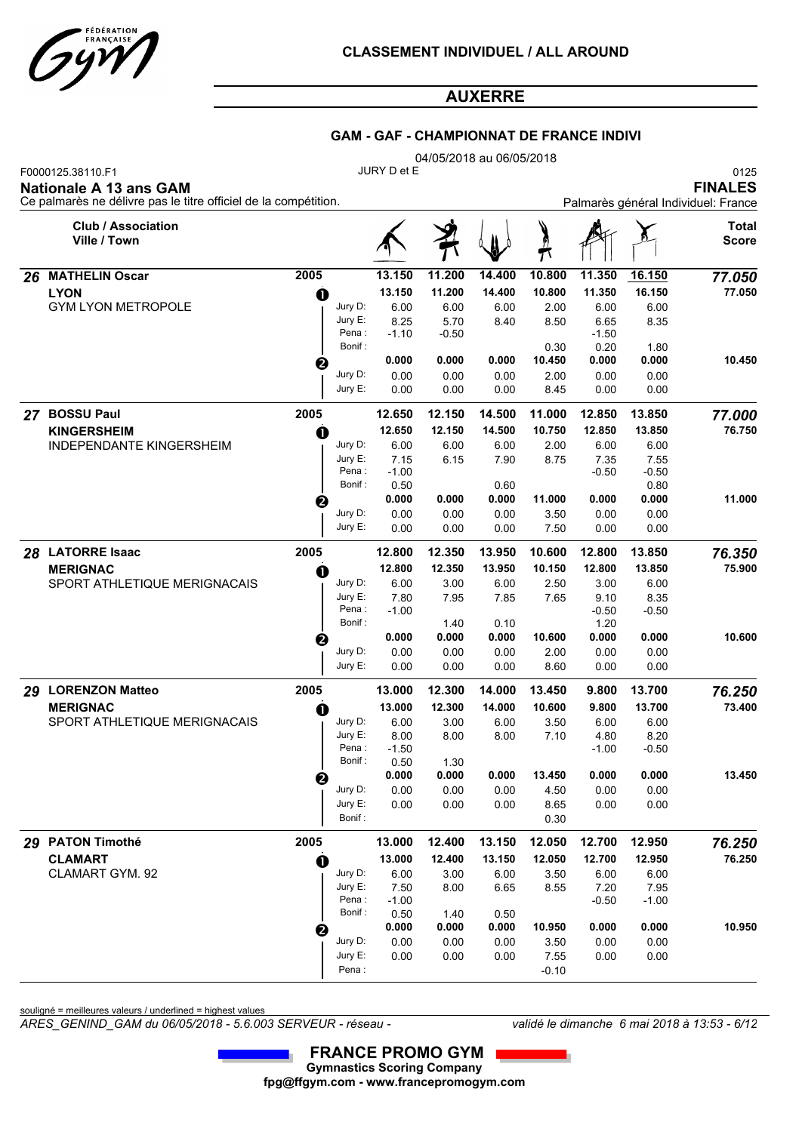

### **GAM - GAF - CHAMPIONNAT DE FRANCE INDIVI**

|    |                                                                                                                |      |                    |                                                               |               | 04/05/2018 au 06/05/2018 |                |                 |               |                       |
|----|----------------------------------------------------------------------------------------------------------------|------|--------------------|---------------------------------------------------------------|---------------|--------------------------|----------------|-----------------|---------------|-----------------------|
|    | F0000125.38110.F1<br>Nationale A 13 ans GAM<br>Ce palmarès ne délivre pas le titre officiel de la compétition. |      | JURY D et E        | 0125<br><b>FINALES</b><br>Palmarès général Individuel: France |               |                          |                |                 |               |                       |
|    | <b>Club / Association</b><br>Ville / Town                                                                      |      |                    |                                                               |               |                          | π              |                 |               | Total<br><b>Score</b> |
| 26 | <b>MATHELIN Oscar</b>                                                                                          | 2005 |                    | 13.150                                                        | 11.200        | 14.400                   | 10.800         | 11.350          | 16.150        | 77.050                |
|    | <b>LYON</b>                                                                                                    | O    |                    | 13.150                                                        | 11.200        | 14.400                   | 10.800         | 11.350          | 16.150        | 77.050                |
|    | <b>GYM LYON METROPOLE</b>                                                                                      |      | Jury D:            | 6.00                                                          | 6.00          | 6.00                     | 2.00           | 6.00            | 6.00          |                       |
|    |                                                                                                                |      | Jury E:<br>Pena :  | 8.25                                                          | 5.70          | 8.40                     | 8.50           | 6.65            | 8.35          |                       |
|    |                                                                                                                |      | Bonif:             | $-1.10$                                                       | -0.50         |                          | 0.30           | $-1.50$<br>0.20 | 1.80          |                       |
|    |                                                                                                                | ❷    |                    | 0.000                                                         | 0.000         | 0.000                    | 10.450         | 0.000           | 0.000         | 10.450                |
|    |                                                                                                                |      | Jury D:            | 0.00                                                          | 0.00          | 0.00                     | 2.00           | 0.00            | 0.00          |                       |
|    |                                                                                                                |      | Jury E:            | 0.00                                                          | 0.00          | 0.00                     | 8.45           | 0.00            | 0.00          |                       |
| 27 | <b>BOSSU Paul</b>                                                                                              | 2005 |                    | 12.650                                                        | 12.150        | 14.500                   | 11.000         | 12.850          | 13.850        | 77.000                |
|    | <b>KINGERSHEIM</b>                                                                                             | a    |                    | 12.650                                                        | 12.150        | 14.500                   | 10.750         | 12.850          | 13.850        | 76.750                |
|    | <b>INDEPENDANTE KINGERSHEIM</b>                                                                                |      | Jury D:            | 6.00                                                          | 6.00          | 6.00                     | 2.00           | 6.00            | 6.00          |                       |
|    |                                                                                                                |      | Jury E:            | 7.15                                                          | 6.15          | 7.90                     | 8.75           | 7.35            | 7.55          |                       |
|    |                                                                                                                |      | Pena:<br>Bonif:    | $-1.00$                                                       |               |                          |                | $-0.50$         | $-0.50$       |                       |
|    |                                                                                                                |      |                    | 0.50<br>0.000                                                 | 0.000         | 0.60<br>0.000            | 11.000         | 0.000           | 0.80<br>0.000 | 11.000                |
|    |                                                                                                                | ❷    | Jury D:            | 0.00                                                          | 0.00          | 0.00                     | 3.50           | 0.00            | 0.00          |                       |
|    |                                                                                                                |      | Jury E:            | 0.00                                                          | 0.00          | 0.00                     | 7.50           | 0.00            | 0.00          |                       |
| 28 | <b>LATORRE Isaac</b>                                                                                           | 2005 |                    | 12.800                                                        | 12.350        | 13.950                   | 10.600         | 12.800          | 13.850        | 76.350                |
|    | <b>MERIGNAC</b>                                                                                                | O    |                    | 12.800                                                        | 12.350        | 13.950                   | 10.150         | 12.800          | 13.850        | 75.900                |
|    | SPORT ATHLETIQUE MERIGNACAIS                                                                                   |      | Jury D:            | 6.00                                                          | 3.00          | 6.00                     | 2.50           | 3.00            | 6.00          |                       |
|    |                                                                                                                |      | Jury E:            | 7.80                                                          | 7.95          | 7.85                     | 7.65           | 9.10            | 8.35          |                       |
|    |                                                                                                                |      | Pena:              | $-1.00$                                                       |               |                          |                | $-0.50$         | $-0.50$       |                       |
|    |                                                                                                                |      | Bonif:             |                                                               | 1.40          | 0.10                     |                | 1.20            |               |                       |
|    |                                                                                                                | ❷    | Jury D:            | 0.000<br>0.00                                                 | 0.000<br>0.00 | 0.000<br>0.00            | 10.600<br>2.00 | 0.000<br>0.00   | 0.000<br>0.00 | 10.600                |
|    |                                                                                                                |      | Jury E:            | 0.00                                                          | 0.00          | 0.00                     | 8.60           | 0.00            | 0.00          |                       |
| 29 | <b>LORENZON Matteo</b>                                                                                         | 2005 |                    | 13.000                                                        | 12.300        | 14.000                   | 13.450         | 9.800           | 13.700        | 76.250                |
|    | <b>MERIGNAC</b>                                                                                                | O    |                    | 13.000                                                        | 12.300        | 14.000                   | 10.600         | 9.800           | 13.700        | 73.400                |
|    | SPORT ATHLETIQUE MERIGNACAIS                                                                                   |      | Jury D:            | 6.00                                                          | 3.00          | 6.00                     | 3.50           | 6.00            | 6.00          |                       |
|    |                                                                                                                |      | Jury E:            | 8.00                                                          | 8.00          | 8.00                     | 7.10           | 4.80            | 8.20          |                       |
|    |                                                                                                                |      | Pena :             | $-1.50$                                                       |               |                          |                | $-1.00$         | $-0.50$       |                       |
|    |                                                                                                                |      | Bonif :            | 0.50<br>0.000                                                 | 1.30<br>0.000 | 0.000                    | 13.450         | 0.000           | 0.000         | 13.450                |
|    |                                                                                                                | 0    | Jury D:            | 0.00                                                          | 0.00          | 0.00                     | 4.50           | 0.00            | 0.00          |                       |
|    |                                                                                                                |      | Jury E:            | 0.00                                                          | 0.00          | 0.00                     | 8.65           | 0.00            | 0.00          |                       |
|    |                                                                                                                |      | Bonif :            |                                                               |               |                          | 0.30           |                 |               |                       |
|    | 29 PATON Timothé                                                                                               | 2005 |                    | 13.000                                                        | 12.400        | 13.150                   | 12.050         | 12.700          | 12.950        | 76.250                |
|    | <b>CLAMART</b>                                                                                                 |      |                    | 13.000                                                        | 12.400        | 13.150                   | 12.050         | 12.700          | 12.950        | 76.250                |
|    | CLAMART GYM. 92                                                                                                | O    | Jury D:            | 6.00                                                          | 3.00          | 6.00                     | 3.50           | 6.00            | 6.00          |                       |
|    |                                                                                                                |      | Jury E:            | 7.50                                                          | 8.00          | 6.65                     | 8.55           | 7.20            | 7.95          |                       |
|    |                                                                                                                |      | Pena :             | $-1.00$                                                       |               |                          |                | $-0.50$         | $-1.00$       |                       |
|    |                                                                                                                |      | Bonif:             | 0.50                                                          | 1.40          | 0.50                     |                |                 |               |                       |
|    |                                                                                                                | 2    |                    | 0.000                                                         | 0.000         | 0.000                    | 10.950         | 0.000           | 0.000         | 10.950                |
|    |                                                                                                                |      | Jury D:<br>Jury E: | 0.00<br>0.00                                                  | 0.00<br>0.00  | 0.00<br>0.00             | 3.50<br>7.55   | 0.00<br>0.00    | 0.00<br>0.00  |                       |
|    |                                                                                                                |      | Pena :             |                                                               |               |                          | $-0.10$        |                 |               |                       |
|    |                                                                                                                |      |                    |                                                               |               |                          |                |                 |               |                       |

souligné = meilleures valeurs / underlined = highest values

*ARES\_GENIND\_GAM du 06/05/2018 - 5.6.003 SERVEUR - réseau - validé le dimanche 6 mai 2018 à 13:53 - 6/12*

 **FRANCE PROMO GYM**I **Gymnastics Scoring Company fpg@ffgym.com - www.francepromogym.com**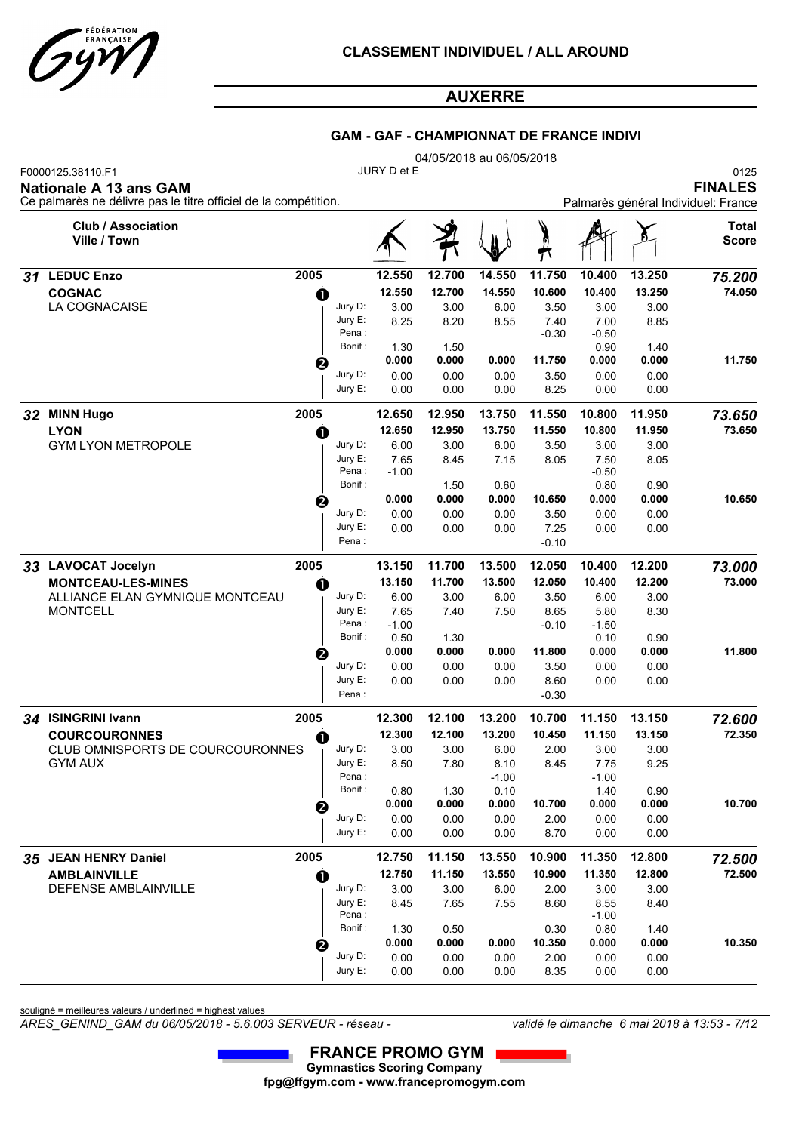

### **GAM - GAF - CHAMPIONNAT DE FRANCE INDIVI**

|    |                                                                                                                       |             |                   |                 |        | 04/05/2018 au 06/05/2018 |                 |                 |        |                                                               |
|----|-----------------------------------------------------------------------------------------------------------------------|-------------|-------------------|-----------------|--------|--------------------------|-----------------|-----------------|--------|---------------------------------------------------------------|
|    | F0000125.38110.F1<br><b>Nationale A 13 ans GAM</b><br>Ce palmarès ne délivre pas le titre officiel de la compétition. |             |                   | JURY D et E     |        |                          |                 |                 |        | 0125<br><b>FINALES</b><br>Palmarès général Individuel: France |
|    | <b>Club / Association</b><br>Ville / Town                                                                             |             |                   |                 | 9      |                          | $\mathcal{T}$   |                 |        | Total<br><b>Score</b>                                         |
| 31 | <b>LEDUC Enzo</b>                                                                                                     | 2005        |                   | 12.550          | 12.700 | 14.550                   | 11.750          | 10.400          | 13.250 | 75.200                                                        |
|    | <b>COGNAC</b>                                                                                                         | $\bf o$     |                   | 12.550          | 12.700 | 14.550                   | 10.600          | 10.400          | 13.250 | 74.050                                                        |
|    | LA COGNACAISE                                                                                                         |             | Jury D:           | 3.00            | 3.00   | 6.00                     | 3.50            | 3.00            | 3.00   |                                                               |
|    |                                                                                                                       |             | Jury E:<br>Pena:  | 8.25            | 8.20   | 8.55                     | 7.40            | 7.00            | 8.85   |                                                               |
|    |                                                                                                                       |             | Bonif:            | 1.30            | 1.50   |                          | -0.30           | $-0.50$<br>0.90 | 1.40   |                                                               |
|    |                                                                                                                       | €           |                   | 0.000           | 0.000  | 0.000                    | 11.750          | 0.000           | 0.000  | 11.750                                                        |
|    |                                                                                                                       |             | Jury D:           | 0.00            | 0.00   | 0.00                     | 3.50            | 0.00            | 0.00   |                                                               |
|    |                                                                                                                       |             | Jury E:           | 0.00            | 0.00   | 0.00                     | 8.25            | 0.00            | 0.00   |                                                               |
| 32 | <b>MINN Hugo</b>                                                                                                      | 2005        |                   | 12.650          | 12.950 | 13.750                   | 11.550          | 10.800          | 11.950 | 73.650                                                        |
|    | <b>LYON</b>                                                                                                           | O           |                   | 12.650          | 12.950 | 13.750                   | 11.550          | 10.800          | 11.950 | 73.650                                                        |
|    | <b>GYM LYON METROPOLE</b>                                                                                             |             | Jury D:           | 6.00            | 3.00   | 6.00                     | 3.50            | 3.00            | 3.00   |                                                               |
|    |                                                                                                                       |             | Jury E:<br>Pena : | 7.65            | 8.45   | 7.15                     | 8.05            | 7.50            | 8.05   |                                                               |
|    |                                                                                                                       |             | Bonif:            | $-1.00$         | 1.50   | 0.60                     |                 | $-0.50$<br>0.80 | 0.90   |                                                               |
|    |                                                                                                                       | ❷           |                   | 0.000           | 0.000  | 0.000                    | 10.650          | 0.000           | 0.000  | 10.650                                                        |
|    |                                                                                                                       |             | Jury D:           | 0.00            | 0.00   | 0.00                     | 3.50            | 0.00            | 0.00   |                                                               |
|    |                                                                                                                       |             | Jury E:           | 0.00            | 0.00   | 0.00                     | 7.25            | 0.00            | 0.00   |                                                               |
|    |                                                                                                                       |             | Pena :            |                 |        |                          | -0.10           |                 |        |                                                               |
|    | 33 LAVOCAT Jocelyn                                                                                                    | 2005        |                   | 13.150          | 11.700 | 13.500                   | 12.050          | 10.400          | 12.200 | 73.000                                                        |
|    | <b>MONTCEAU-LES-MINES</b>                                                                                             | O           |                   | 13.150          | 11.700 | 13.500                   | 12.050          | 10.400          | 12.200 | 73.000                                                        |
|    | ALLIANCE ELAN GYMNIQUE MONTCEAU                                                                                       |             | Jury D:           | 6.00            | 3.00   | 6.00                     | 3.50            | 6.00            | 3.00   |                                                               |
|    | <b>MONTCELL</b>                                                                                                       |             | Jury E:<br>Pena:  | 7.65<br>$-1.00$ | 7.40   | 7.50                     | 8.65<br>$-0.10$ | 5.80<br>$-1.50$ | 8.30   |                                                               |
|    |                                                                                                                       |             | Bonif:            | 0.50            | 1.30   |                          |                 | 0.10            | 0.90   |                                                               |
|    |                                                                                                                       | 2           |                   | 0.000           | 0.000  | 0.000                    | 11.800          | 0.000           | 0.000  | 11.800                                                        |
|    |                                                                                                                       |             | Jury D:           | 0.00            | 0.00   | 0.00                     | 3.50            | 0.00            | 0.00   |                                                               |
|    |                                                                                                                       |             | Jury E:           | 0.00            | 0.00   | 0.00                     | 8.60            | 0.00            | 0.00   |                                                               |
|    |                                                                                                                       |             | Pena:             |                 |        |                          | $-0.30$         |                 |        |                                                               |
| 34 | <b>ISINGRINI Ivann</b>                                                                                                | 2005        |                   | 12.300          | 12.100 | 13.200                   | 10.700          | 11.150          | 13.150 | 72.600                                                        |
|    | <b>COURCOURONNES</b>                                                                                                  | O           |                   | 12.300          | 12.100 | 13.200                   | 10.450          | 11.150          | 13.150 | 72.350                                                        |
|    | CLUB OMNISPORTS DE COURCOURONNES                                                                                      |             | Jury D:           | 3.00            | 3.00   | 6.00                     | 2.00            | 3.00            | 3.00   |                                                               |
|    | <b>GYM AUX</b>                                                                                                        |             | Jury E:<br>Pena:  | 8.50            | 7.80   | 8.10<br>$-1.00$          | 8.45            | 7.75<br>$-1.00$ | 9.25   |                                                               |
|    |                                                                                                                       |             | Bonif:            | 0.80            | 1.30   | 0.10                     |                 | 1.40            | 0.90   |                                                               |
|    |                                                                                                                       | ❷           |                   | 0.000           | 0.000  | 0.000                    | 10.700          | 0.000           | 0.000  | 10.700                                                        |
|    |                                                                                                                       |             | Jury D:           | 0.00            | 0.00   | 0.00                     | 2.00            | 0.00            | 0.00   |                                                               |
|    |                                                                                                                       |             | Jury E:           | 0.00            | 0.00   | 0.00                     | 8.70            | 0.00            | 0.00   |                                                               |
|    | 35 JEAN HENRY Daniel                                                                                                  | 2005        |                   | 12.750          | 11.150 | 13.550                   | 10.900          | 11.350          | 12.800 | 72.500                                                        |
|    | <b>AMBLAINVILLE</b>                                                                                                   | $\mathbf 0$ |                   | 12.750          | 11.150 | 13.550                   | 10.900          | 11.350          | 12.800 | 72.500                                                        |
|    | DEFENSE AMBLAINVILLE                                                                                                  |             | Jury D:           | 3.00            | 3.00   | 6.00                     | 2.00            | 3.00            | 3.00   |                                                               |
|    |                                                                                                                       |             | Jury E:<br>Pena:  | 8.45            | 7.65   | 7.55                     | 8.60            | 8.55            | 8.40   |                                                               |
|    |                                                                                                                       |             | Bonif:            | 1.30            | 0.50   |                          | 0.30            | $-1.00$<br>0.80 | 1.40   |                                                               |
|    |                                                                                                                       | ❷           |                   | 0.000           | 0.000  | 0.000                    | 10.350          | 0.000           | 0.000  | 10.350                                                        |
|    |                                                                                                                       |             | Jury D:           | 0.00            | 0.00   | 0.00                     | 2.00            | 0.00            | 0.00   |                                                               |
|    |                                                                                                                       |             | Jury E:           | 0.00            | 0.00   | 0.00                     | 8.35            | 0.00            | 0.00   |                                                               |

souligné = meilleures valeurs / underlined = highest values

*ARES\_GENIND\_GAM du 06/05/2018 - 5.6.003 SERVEUR - réseau - validé le dimanche 6 mai 2018 à 13:53 - 7/12*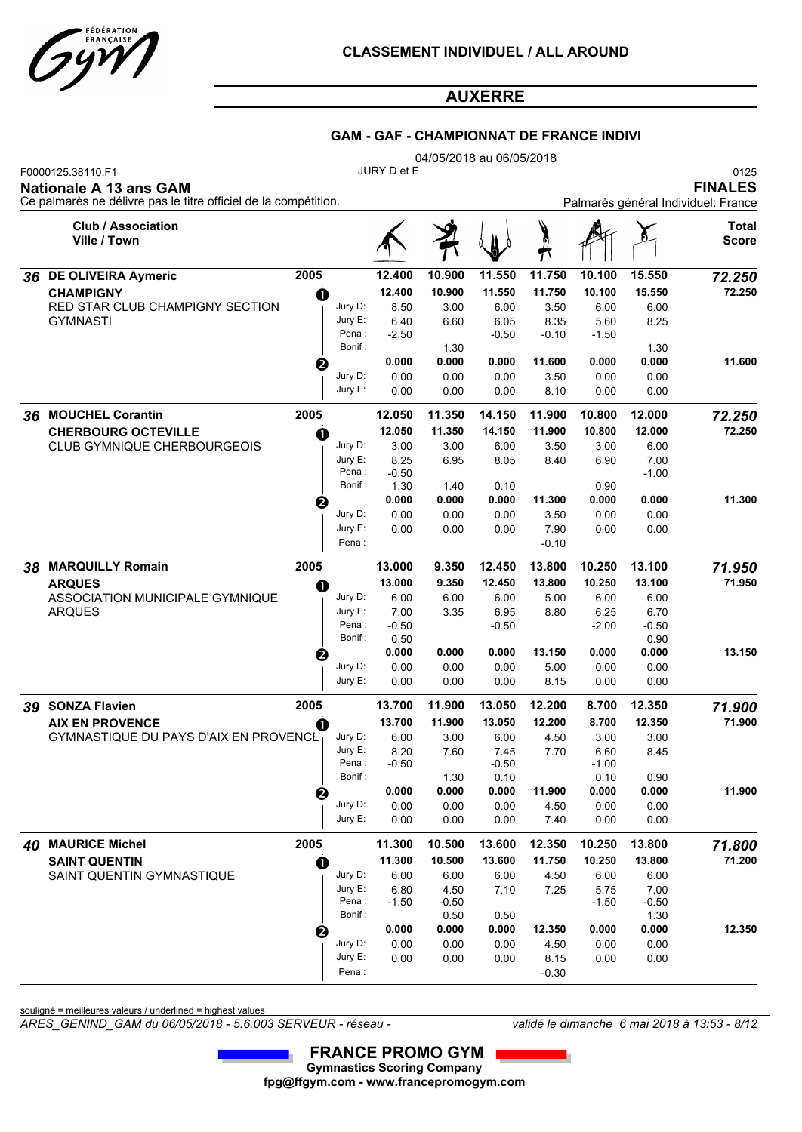

### **GAM - GAF - CHAMPIONNAT DE FRANCE INDIVI**

|    |                                                                                                                       |          | 04/05/2018 au 06/05/2018 |                 |               |               |                |               |                 |                                                               |  |  |  |
|----|-----------------------------------------------------------------------------------------------------------------------|----------|--------------------------|-----------------|---------------|---------------|----------------|---------------|-----------------|---------------------------------------------------------------|--|--|--|
|    | F0000125.38110.F1<br><b>Nationale A 13 ans GAM</b><br>Ce palmarès ne délivre pas le titre officiel de la compétition. |          |                          | JURY D et E     |               |               |                |               |                 | 0125<br><b>FINALES</b><br>Palmarès général Individuel: France |  |  |  |
|    | <b>Club / Association</b><br>Ville / Town                                                                             |          |                          |                 |               |               |                |               |                 | Total<br><b>Score</b>                                         |  |  |  |
|    | 36 DE OLIVEIRA Aymeric                                                                                                | 2005     |                          | 12.400          | 10.900        | 11.550        | 11.750         | 10.100        | 15.550          | 72.250                                                        |  |  |  |
|    | <b>CHAMPIGNY</b>                                                                                                      | O        |                          | 12.400          | 10.900        | 11.550        | 11.750         | 10.100        | 15.550          | 72.250                                                        |  |  |  |
|    | RED STAR CLUB CHAMPIGNY SECTION                                                                                       |          | Jury D:                  | 8.50            | 3.00          | 6.00          | 3.50           | 6.00          | 6.00            |                                                               |  |  |  |
|    | <b>GYMNASTI</b>                                                                                                       |          | Jury E:                  | 6.40            | 6.60          | 6.05          | 8.35           | 5.60          | 8.25            |                                                               |  |  |  |
|    |                                                                                                                       |          | Pena:                    | $-2.50$         |               | $-0.50$       | $-0.10$        | $-1.50$       |                 |                                                               |  |  |  |
|    |                                                                                                                       |          | Bonif:                   | 0.000           | 1.30<br>0.000 | 0.000         | 11.600         | 0.000         | 1.30<br>0.000   | 11.600                                                        |  |  |  |
|    |                                                                                                                       | ❷        | Jury D:                  | 0.00            | 0.00          | 0.00          | 3.50           | 0.00          | 0.00            |                                                               |  |  |  |
|    |                                                                                                                       |          | Jury E:                  | 0.00            | 0.00          | 0.00          | 8.10           | 0.00          | 0.00            |                                                               |  |  |  |
|    |                                                                                                                       |          |                          |                 |               |               |                |               |                 |                                                               |  |  |  |
| 36 | <b>MOUCHEL Corantin</b>                                                                                               | 2005     |                          | 12.050          | 11.350        | 14.150        | 11.900         | 10.800        | 12.000          | 72.250                                                        |  |  |  |
|    | <b>CHERBOURG OCTEVILLE</b>                                                                                            | O        |                          | 12.050          | 11.350        | 14.150        | 11.900         | 10.800        | 12.000          | 72.250                                                        |  |  |  |
|    | <b>CLUB GYMNIQUE CHERBOURGEOIS</b>                                                                                    |          | Jury D:<br>Jury E:       | 3.00            | 3.00          | 6.00          | 3.50           | 3.00          | 6.00            |                                                               |  |  |  |
|    |                                                                                                                       |          | Pena:                    | 8.25<br>$-0.50$ | 6.95          | 8.05          | 8.40           | 6.90          | 7.00<br>$-1.00$ |                                                               |  |  |  |
|    |                                                                                                                       |          | Bonif:                   | 1.30            | 1.40          | 0.10          |                | 0.90          |                 |                                                               |  |  |  |
|    |                                                                                                                       | ❷        |                          | 0.000           | 0.000         | 0.000         | 11.300         | 0.000         | 0.000           | 11.300                                                        |  |  |  |
|    |                                                                                                                       |          | Jury D:                  | 0.00            | 0.00          | 0.00          | 3.50           | 0.00          | 0.00            |                                                               |  |  |  |
|    |                                                                                                                       |          | Jury E:                  | 0.00            | 0.00          | 0.00          | 7.90           | 0.00          | 0.00            |                                                               |  |  |  |
|    |                                                                                                                       |          | Pena:                    |                 |               |               | $-0.10$        |               |                 |                                                               |  |  |  |
|    | 38 MARQUILLY Romain                                                                                                   | 2005     |                          | 13.000          | 9.350         | 12.450        | 13.800         | 10.250        | 13.100          | 71.950                                                        |  |  |  |
|    | <b>ARQUES</b>                                                                                                         | O        |                          | 13.000          | 9.350         | 12.450        | 13.800         | 10.250        | 13.100          | 71.950                                                        |  |  |  |
|    | ASSOCIATION MUNICIPALE GYMNIQUE                                                                                       |          | Jury D:                  | 6.00            | 6.00          | 6.00          | 5.00           | 6.00          | 6.00            |                                                               |  |  |  |
|    | <b>ARQUES</b>                                                                                                         |          | Jury E:                  | 7.00            | 3.35          | 6.95          | 8.80           | 6.25          | 6.70            |                                                               |  |  |  |
|    |                                                                                                                       |          | Pena :<br>Bonif:         | $-0.50$<br>0.50 |               | $-0.50$       |                | $-2.00$       | $-0.50$<br>0.90 |                                                               |  |  |  |
|    |                                                                                                                       | ❷        |                          | 0.000           | 0.000         | 0.000         | 13.150         | 0.000         | 0.000           | 13.150                                                        |  |  |  |
|    |                                                                                                                       |          | Jury D:                  | 0.00            | 0.00          | 0.00          | 5.00           | 0.00          | 0.00            |                                                               |  |  |  |
|    |                                                                                                                       |          | Jury E:                  | 0.00            | 0.00          | 0.00          | 8.15           | 0.00          | 0.00            |                                                               |  |  |  |
| 39 | <b>SONZA Flavien</b>                                                                                                  | 2005     |                          | 13.700          | 11.900        | 13.050        | 12.200         | 8.700         | 12.350          | 71.900                                                        |  |  |  |
|    | <b>AIX EN PROVENCE</b>                                                                                                |          |                          | 13.700          | 11.900        | 13.050        | 12.200         | 8.700         | 12.350          | 71.900                                                        |  |  |  |
|    | <b>GYMNASTIQUE DU PAYS D'AIX EN PROVENCET</b>                                                                         | O        | Jury D:                  | 6.00            | 3.00          | 6.00          | 4.50           | 3.00          | 3.00            |                                                               |  |  |  |
|    |                                                                                                                       |          | Jury E:                  | 8.20            | 7.60          | 7.45          | 7.70           | 6.60          | 8.45            |                                                               |  |  |  |
|    |                                                                                                                       |          | Pena:                    | $-0.50$         |               | $-0.50$       |                | $-1.00$       |                 |                                                               |  |  |  |
|    |                                                                                                                       |          | Bonif:                   |                 | 1.30          | 0.10          |                | 0.10          | 0.90            |                                                               |  |  |  |
|    |                                                                                                                       | ❷        | Jury D:                  | 0.000<br>0.00   | 0.000<br>0.00 | 0.000<br>0.00 | 11.900<br>4.50 | 0.000<br>0.00 | 0.000<br>0.00   | 11.900                                                        |  |  |  |
|    |                                                                                                                       |          | Jury E:                  | 0.00            | 0.00          | 0.00          | 7.40           | 0.00          | 0.00            |                                                               |  |  |  |
|    |                                                                                                                       |          |                          |                 |               |               |                |               |                 |                                                               |  |  |  |
|    | 40 MAURICE Michel                                                                                                     | 2005     |                          | 11.300          | 10.500        | 13.600        | 12.350         | 10.250        | 13.800          | 71.800                                                        |  |  |  |
|    | <b>SAINT QUENTIN</b>                                                                                                  | $\bf{0}$ |                          | 11.300          | 10.500        | 13.600        | 11.750         | 10.250        | 13.800          | 71.200                                                        |  |  |  |
|    | SAINT QUENTIN GYMNASTIQUE                                                                                             |          | Jury D:<br>Jury E:       | 6.00<br>6.80    | 6.00<br>4.50  | 6.00<br>7.10  | 4.50<br>7.25   | 6.00<br>5.75  | 6.00<br>7.00    |                                                               |  |  |  |
|    |                                                                                                                       |          | Pena :                   | $-1.50$         | $-0.50$       |               |                | $-1.50$       | $-0.50$         |                                                               |  |  |  |
|    |                                                                                                                       |          | Bonif:                   |                 | 0.50          | 0.50          |                |               | 1.30            |                                                               |  |  |  |
|    |                                                                                                                       | ❷        |                          | 0.000           | 0.000         | 0.000         | 12.350         | 0.000         | 0.000           | 12.350                                                        |  |  |  |
|    |                                                                                                                       |          | Jury D:                  | 0.00            | 0.00          | 0.00          | 4.50           | 0.00          | 0.00            |                                                               |  |  |  |
|    |                                                                                                                       |          | Jury E:                  | 0.00            | 0.00          | 0.00          | 8.15           | 0.00          | 0.00            |                                                               |  |  |  |
|    |                                                                                                                       |          | Pena:                    |                 |               |               | $-0.30$        |               |                 |                                                               |  |  |  |

souligné = meilleures valeurs / underlined = highest values

*ARES\_GENIND\_GAM du 06/05/2018 - 5.6.003 SERVEUR - réseau - validé le dimanche 6 mai 2018 à 13:53 - 8/12*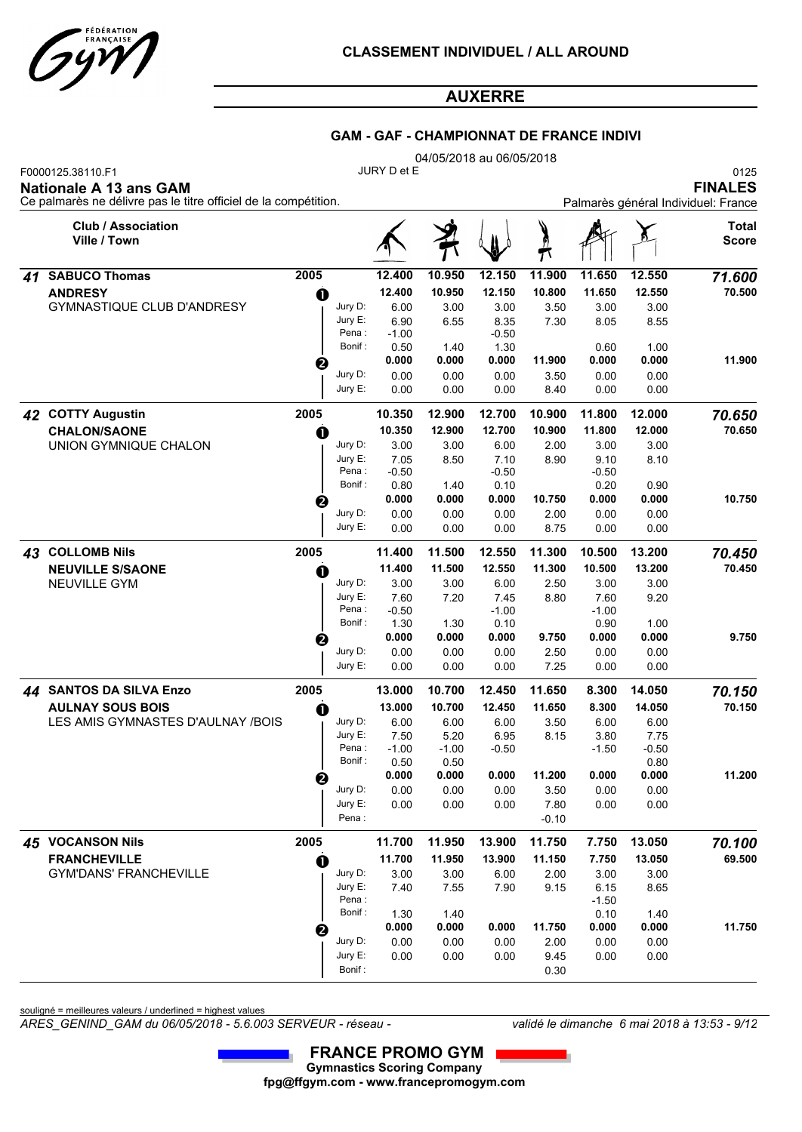

|    |                                                                                                                       | <b>GAM - GAF - CHAMPIONNAT DE FRANCE INDIVI</b><br>04/05/2018 au 06/05/2018 |                                                    |                 |                 |                 |         |                 |                 |                       |  |  |  |
|----|-----------------------------------------------------------------------------------------------------------------------|-----------------------------------------------------------------------------|----------------------------------------------------|-----------------|-----------------|-----------------|---------|-----------------|-----------------|-----------------------|--|--|--|
|    | F0000125.38110.F1<br><b>Nationale A 13 ans GAM</b><br>Ce palmarès ne délivre pas le titre officiel de la compétition. |                                                                             | JURY D et E<br>Palmarès général Individuel: France |                 |                 |                 |         |                 |                 |                       |  |  |  |
|    | <b>Club / Association</b><br>Ville / Town                                                                             |                                                                             |                                                    |                 |                 |                 | þ       |                 |                 | Total<br><b>Score</b> |  |  |  |
| 41 | <b>SABUCO Thomas</b>                                                                                                  | 2005                                                                        |                                                    | 12.400          | 10.950          | 12.150          | 11.900  | 11.650          | 12.550          | 71.600                |  |  |  |
|    | <b>ANDRESY</b>                                                                                                        | $\mathbf 0$                                                                 |                                                    | 12.400          | 10.950          | 12.150          | 10.800  | 11.650          | 12.550          | 70.500                |  |  |  |
|    | <b>GYMNASTIQUE CLUB D'ANDRESY</b>                                                                                     |                                                                             | Jury D:                                            | 6.00            | 3.00            | 3.00            | 3.50    | 3.00            | 3.00            |                       |  |  |  |
|    |                                                                                                                       |                                                                             | Jury E:                                            | 6.90            | 6.55            | 8.35            | 7.30    | 8.05            | 8.55            |                       |  |  |  |
|    |                                                                                                                       |                                                                             | Pena:<br>Bonif:                                    | $-1.00$<br>0.50 | 1.40            | $-0.50$<br>1.30 |         | 0.60            | 1.00            |                       |  |  |  |
|    |                                                                                                                       | ❷                                                                           |                                                    | 0.000           | 0.000           | 0.000           | 11.900  | 0.000           | 0.000           | 11.900                |  |  |  |
|    |                                                                                                                       |                                                                             | Jury D:                                            | 0.00            | 0.00            | 0.00            | 3.50    | 0.00            | 0.00            |                       |  |  |  |
|    |                                                                                                                       |                                                                             | Jury E:                                            | 0.00            | 0.00            | 0.00            | 8.40    | 0.00            | 0.00            |                       |  |  |  |
| 42 | <b>COTTY Augustin</b>                                                                                                 | 2005                                                                        |                                                    | 10.350          | 12.900          | 12.700          | 10.900  | 11.800          | 12.000          | 70.650                |  |  |  |
|    | <b>CHALON/SAONE</b>                                                                                                   | $\bf{0}$                                                                    |                                                    | 10.350          | 12.900          | 12.700          | 10.900  | 11.800          | 12.000          | 70.650                |  |  |  |
|    | UNION GYMNIQUE CHALON                                                                                                 |                                                                             | Jury D:                                            | 3.00            | 3.00            | 6.00            | 2.00    | 3.00            | 3.00            |                       |  |  |  |
|    |                                                                                                                       |                                                                             | Jury E:                                            | 7.05            | 8.50            | 7.10            | 8.90    | 9.10            | 8.10            |                       |  |  |  |
|    |                                                                                                                       |                                                                             | Pena:                                              | $-0.50$         |                 | $-0.50$         |         | $-0.50$         |                 |                       |  |  |  |
|    |                                                                                                                       |                                                                             | Bonif:                                             | 0.80            | 1.40            | 0.10            |         | 0.20            | 0.90            |                       |  |  |  |
|    |                                                                                                                       | ❷                                                                           |                                                    | 0.000           | 0.000           | 0.000           | 10.750  | 0.000           | 0.000           | 10.750                |  |  |  |
|    |                                                                                                                       |                                                                             | Jury D:<br>Jury E:                                 | 0.00            | 0.00            | 0.00            | 2.00    | 0.00            | 0.00            |                       |  |  |  |
|    |                                                                                                                       |                                                                             |                                                    | 0.00            | 0.00            | 0.00            | 8.75    | 0.00            | 0.00            |                       |  |  |  |
|    | 43 COLLOMB Nils                                                                                                       | 2005                                                                        |                                                    | 11.400          | 11.500          | 12.550          | 11.300  | 10.500          | 13.200          | 70.450                |  |  |  |
|    | <b>NEUVILLE S/SAONE</b>                                                                                               | O                                                                           |                                                    | 11.400          | 11.500          | 12.550          | 11.300  | 10.500          | 13.200          | 70.450                |  |  |  |
|    | <b>NEUVILLE GYM</b>                                                                                                   |                                                                             | Jury D:                                            | 3.00            | 3.00            | 6.00            | 2.50    | 3.00            | 3.00            |                       |  |  |  |
|    |                                                                                                                       |                                                                             | Jury E:<br>Pena:                                   | 7.60<br>$-0.50$ | 7.20            | 7.45<br>$-1.00$ | 8.80    | 7.60<br>$-1.00$ | 9.20            |                       |  |  |  |
|    |                                                                                                                       |                                                                             | Bonif:                                             | 1.30            | 1.30            | 0.10            |         | 0.90            | 1.00            |                       |  |  |  |
|    |                                                                                                                       | ❷                                                                           |                                                    | 0.000           | 0.000           | 0.000           | 9.750   | 0.000           | 0.000           | 9.750                 |  |  |  |
|    |                                                                                                                       |                                                                             | Jury D:                                            | 0.00            | 0.00            | 0.00            | 2.50    | 0.00            | 0.00            |                       |  |  |  |
|    |                                                                                                                       |                                                                             | Jury E:                                            | 0.00            | 0.00            | 0.00            | 7.25    | 0.00            | 0.00            |                       |  |  |  |
|    | 44 SANTOS DA SILVA Enzo                                                                                               | 2005                                                                        |                                                    | 13.000          | 10.700          | 12.450          | 11.650  | 8.300           | 14.050          | 70.150                |  |  |  |
|    | <b>AULNAY SOUS BOIS</b>                                                                                               | $\bf{0}$                                                                    |                                                    | 13.000          | 10.700          | 12.450          | 11.650  | 8.300           | 14.050          | 70.150                |  |  |  |
|    | LES AMIS GYMNASTES D'AULNAY /BOIS                                                                                     |                                                                             | Jury D:                                            | 6.00            | 6.00            | 6.00            | 3.50    | 6.00            | 6.00            |                       |  |  |  |
|    |                                                                                                                       |                                                                             | Jury E:                                            | 7.50            | 5.20            | 6.95            | 8.15    | 3.80            | 7.75            |                       |  |  |  |
|    |                                                                                                                       |                                                                             | Pena :<br>Bonif:                                   | $-1.00$<br>0.50 | $-1.00$<br>0.50 | $-0.50$         |         | $-1.50$         | $-0.50$<br>0.80 |                       |  |  |  |
|    |                                                                                                                       |                                                                             |                                                    | 0.000           | 0.000           | 0.000           | 11.200  | 0.000           | 0.000           | 11.200                |  |  |  |
|    |                                                                                                                       |                                                                             | Jury D:                                            | 0.00            | 0.00            | 0.00            | 3.50    | 0.00            | 0.00            |                       |  |  |  |
|    |                                                                                                                       |                                                                             | Jury E:                                            | 0.00            | 0.00            | 0.00            | 7.80    | 0.00            | 0.00            |                       |  |  |  |
|    |                                                                                                                       |                                                                             | Pena:                                              |                 |                 |                 | $-0.10$ |                 |                 |                       |  |  |  |
|    |                                                                                                                       |                                                                             |                                                    |                 |                 |                 |         |                 |                 |                       |  |  |  |

 *45* **VOCANSON Nils 2005 11.700 11.950 13.900 11.750 7.750 13.050** *70.100* GYM'DANS' FRANCHEVILLE **FRANCHEVILLE** Jury D: Jury E:<br>Pena :  **11.700 11.950 13.900 11.150 7.750 13.050** 3.00 7.40 7.55 7.90 3.00 7.55 6.00 2.00 3.00 7.90 9.15 6.15 3.00 8.65  $\bullet$  11.700 11.950 13.900 11.150 7.750 13.050 69.500 Pena :  $-1.50$ Bonif : 1.30 1.40 0.10 1.40  **0.000 0.000 0.000 11.750 0.000 0.000** 0.00 0.00 0.00 0.00 0.00 0.00 9.45 0.00 2.00 0.00 0.00 9.45 0.00 0.00 0.00 Jury D: Jury E:  **11.750** Bonif : 0.30

souligné = meilleures valeurs / underlined = highest values

*ARES\_GENIND\_GAM du 06/05/2018 - 5.6.003 SERVEUR - réseau - validé le dimanche 6 mai 2018 à 13:53 - 9/12*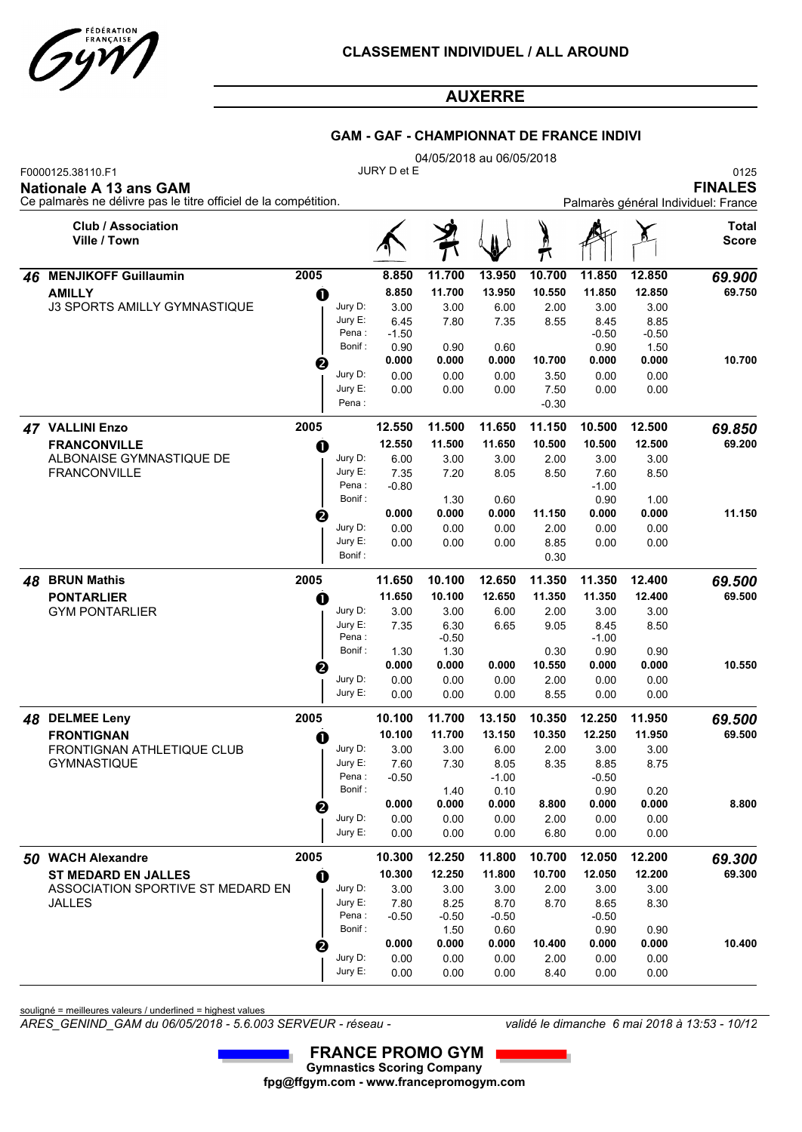

### **GAM - GAF - CHAMPIONNAT DE FRANCE INDIVI**

|    |                                                                                                                |             |                   |                 |                 | 04/05/2018 au 06/05/2018 |         |                 |                                                               |                       |  |  |
|----|----------------------------------------------------------------------------------------------------------------|-------------|-------------------|-----------------|-----------------|--------------------------|---------|-----------------|---------------------------------------------------------------|-----------------------|--|--|
|    | F0000125.38110.F1<br>Nationale A 13 ans GAM<br>Ce palmarès ne délivre pas le titre officiel de la compétition. |             |                   | JURY D et E     |                 |                          |         |                 | 0125<br><b>FINALES</b><br>Palmarès général Individuel: France |                       |  |  |
|    | <b>Club / Association</b><br>Ville / Town                                                                      |             |                   |                 |                 |                          |         |                 |                                                               | Total<br><b>Score</b> |  |  |
| 46 | <b>MENJIKOFF Guillaumin</b>                                                                                    | 2005        |                   | 8.850           | 11.700          | 13.950                   | 10.700  | 11.850          | 12.850                                                        | 69.900                |  |  |
|    | <b>AMILLY</b>                                                                                                  | O           |                   | 8.850           | 11.700          | 13.950                   | 10.550  | 11.850          | 12.850                                                        | 69.750                |  |  |
|    | <b>J3 SPORTS AMILLY GYMNASTIQUE</b>                                                                            |             | Jury D:           | 3.00            | 3.00            | 6.00                     | 2.00    | 3.00            | 3.00                                                          |                       |  |  |
|    |                                                                                                                |             | Jury E:           | 6.45            | 7.80            | 7.35                     | 8.55    | 8.45            | 8.85                                                          |                       |  |  |
|    |                                                                                                                |             | Pena:<br>Bonif :  | $-1.50$<br>0.90 | 0.90            | 0.60                     |         | $-0.50$<br>0.90 | $-0.50$<br>1.50                                               |                       |  |  |
|    |                                                                                                                | ❷           |                   | 0.000           | 0.000           | 0.000                    | 10.700  | 0.000           | 0.000                                                         | 10.700                |  |  |
|    |                                                                                                                |             | Jury D:           | 0.00            | 0.00            | 0.00                     | 3.50    | 0.00            | 0.00                                                          |                       |  |  |
|    |                                                                                                                |             | Jury E:           | 0.00            | 0.00            | 0.00                     | 7.50    | 0.00            | 0.00                                                          |                       |  |  |
|    |                                                                                                                |             | Pena :            |                 |                 |                          | $-0.30$ |                 |                                                               |                       |  |  |
| 47 | <b>VALLINI Enzo</b>                                                                                            | 2005        |                   | 12.550          | 11.500          | 11.650                   | 11.150  | 10.500          | 12.500                                                        | 69.850                |  |  |
|    | <b>FRANCONVILLE</b>                                                                                            | O           |                   | 12.550          | 11.500          | 11.650                   | 10.500  | 10.500          | 12.500                                                        | 69.200                |  |  |
|    | ALBONAISE GYMNASTIQUE DE                                                                                       |             | Jury D:           | 6.00            | 3.00            | 3.00                     | 2.00    | 3.00            | 3.00                                                          |                       |  |  |
|    | <b>FRANCONVILLE</b>                                                                                            |             | Jury E:<br>Pena:  | 7.35<br>$-0.80$ | 7.20            | 8.05                     | 8.50    | 7.60<br>$-1.00$ | 8.50                                                          |                       |  |  |
|    |                                                                                                                |             | Bonif :           |                 | 1.30            | 0.60                     |         | 0.90            | 1.00                                                          |                       |  |  |
|    |                                                                                                                | €           |                   | 0.000           | 0.000           | 0.000                    | 11.150  | 0.000           | 0.000                                                         | 11.150                |  |  |
|    |                                                                                                                |             | Jury D:           | 0.00            | 0.00            | 0.00                     | 2.00    | 0.00            | 0.00                                                          |                       |  |  |
|    |                                                                                                                |             | Jury E:           | 0.00            | 0.00            | 0.00                     | 8.85    | 0.00            | 0.00                                                          |                       |  |  |
|    |                                                                                                                |             | Bonif:            |                 |                 |                          | 0.30    |                 |                                                               |                       |  |  |
| 48 | <b>BRUN Mathis</b>                                                                                             | 2005        |                   | 11.650          | 10.100          | 12.650                   | 11.350  | 11.350          | 12.400                                                        | 69.500                |  |  |
|    | <b>PONTARLIER</b>                                                                                              | a           |                   | 11.650          | 10.100          | 12.650                   | 11.350  | 11.350          | 12.400                                                        | 69.500                |  |  |
|    | <b>GYM PONTARLIER</b>                                                                                          |             | Jury D:           | 3.00            | 3.00            | 6.00                     | 2.00    | 3.00            | 3.00                                                          |                       |  |  |
|    |                                                                                                                |             | Jury E:<br>Pena : | 7.35            | 6.30<br>$-0.50$ | 6.65                     | 9.05    | 8.45<br>$-1.00$ | 8.50                                                          |                       |  |  |
|    |                                                                                                                |             | Bonif:            | 1.30            | 1.30            |                          | 0.30    | 0.90            | 0.90                                                          |                       |  |  |
|    |                                                                                                                | ❷           |                   | 0.000           | 0.000           | 0.000                    | 10.550  | 0.000           | 0.000                                                         | 10.550                |  |  |
|    |                                                                                                                |             | Jury D:           | 0.00            | 0.00            | 0.00                     | 2.00    | 0.00            | 0.00                                                          |                       |  |  |
|    |                                                                                                                |             | Jury E:           | 0.00            | 0.00            | 0.00                     | 8.55    | 0.00            | 0.00                                                          |                       |  |  |
|    | 48 DELMEE Leny                                                                                                 | 2005        |                   | 10.100          | 11.700          | 13.150                   | 10.350  | 12.250          | 11.950                                                        | 69.500                |  |  |
|    | <b>FRONTIGNAN</b>                                                                                              | O           |                   | 10.100          | 11.700          | 13.150                   | 10.350  | 12.250          | 11.950                                                        | 69.500                |  |  |
|    | FRONTIGNAN ATHLETIQUE CLUB                                                                                     |             | Jury D:           | 3.00            | 3.00            | 6.00                     | 2.00    | 3.00            | 3.00                                                          |                       |  |  |
|    | <b>GYMNASTIQUE</b>                                                                                             |             | Jury E:<br>Pena:  | 7.60            | 7.30            | 8.05                     | 8.35    | 8.85            | 8.75                                                          |                       |  |  |
|    |                                                                                                                |             | Bonif :           | $-0.50$         | 1.40            | $-1.00$<br>0.10          |         | $-0.50$<br>0.90 | 0.20                                                          |                       |  |  |
|    |                                                                                                                | ❷           |                   | 0.000           | 0.000           | 0.000                    | 8.800   | 0.000           | 0.000                                                         | 8.800                 |  |  |
|    |                                                                                                                |             | Jury D:           | 0.00            | 0.00            | 0.00                     | 2.00    | 0.00            | 0.00                                                          |                       |  |  |
|    |                                                                                                                |             | Jury E:           | 0.00            | 0.00            | 0.00                     | 6.80    | 0.00            | 0.00                                                          |                       |  |  |
|    | 50 WACH Alexandre                                                                                              | 2005        |                   | 10.300          | 12.250          | 11.800                   | 10.700  | 12.050          | 12.200                                                        | 69.300                |  |  |
|    | <b>ST MEDARD EN JALLES</b>                                                                                     | $\mathbf 0$ |                   | 10.300          | 12.250          | 11.800                   | 10.700  | 12.050          | 12.200                                                        | 69.300                |  |  |
|    | ASSOCIATION SPORTIVE ST MEDARD EN                                                                              |             | Jury D:           | 3.00            | 3.00            | 3.00                     | 2.00    | 3.00            | 3.00                                                          |                       |  |  |
|    | <b>JALLES</b>                                                                                                  |             | Jury E:           | 7.80            | 8.25            | 8.70                     | 8.70    | 8.65            | 8.30                                                          |                       |  |  |
|    |                                                                                                                |             | Pena:<br>Bonif:   | $-0.50$         | $-0.50$<br>1.50 | $-0.50$<br>0.60          |         | $-0.50$<br>0.90 | 0.90                                                          |                       |  |  |
|    |                                                                                                                | ❷           |                   | 0.000           | 0.000           | 0.000                    | 10.400  | 0.000           | 0.000                                                         | 10.400                |  |  |
|    |                                                                                                                |             | Jury D:           | 0.00            | 0.00            | 0.00                     | 2.00    | 0.00            | 0.00                                                          |                       |  |  |
|    |                                                                                                                |             | Jury E:           | 0.00            | 0.00            | 0.00                     | 8.40    | 0.00            | 0.00                                                          |                       |  |  |

souligné = meilleures valeurs / underlined = highest values

*ARES\_GENIND\_GAM du 06/05/2018 - 5.6.003 SERVEUR - réseau - validé le dimanche 6 mai 2018 à 13:53 - 10/12*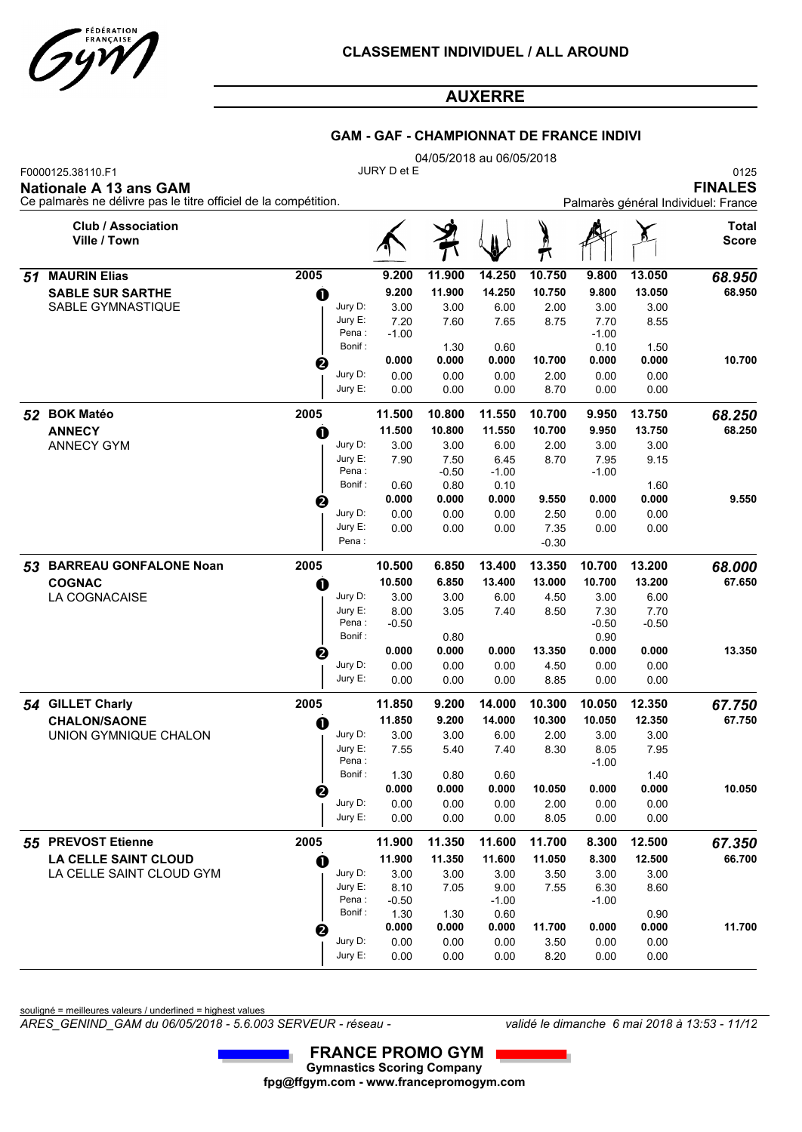

|    |                                                                 |                  | <b>GAM - GAF - CHAMPIONNAT DE FRANCE INDIVI</b> |                          |                 |                        |                 |         |                                     |
|----|-----------------------------------------------------------------|------------------|-------------------------------------------------|--------------------------|-----------------|------------------------|-----------------|---------|-------------------------------------|
|    | F0000125.38110.F1                                               |                  | JURY D et E                                     | 04/05/2018 au 06/05/2018 |                 |                        |                 |         | 0125                                |
|    | <b>Nationale A 13 ans GAM</b>                                   |                  |                                                 |                          |                 |                        |                 |         | <b>FINALES</b>                      |
|    | Ce palmarès ne délivre pas le titre officiel de la compétition. |                  |                                                 |                          |                 |                        |                 |         | Palmarès général Individuel: France |
|    | <b>Club / Association</b><br>Ville / Town                       |                  |                                                 |                          |                 | $\sum_{i=1}^{n}$<br>T٦ |                 |         | <b>Total</b><br><b>Score</b>        |
| 51 | <b>MAURIN Elias</b>                                             | 2005             | 9.200                                           | 11.900                   | 14.250          | 10.750                 | 9.800           | 13.050  | 68.950                              |
|    | <b>SABLE SUR SARTHE</b>                                         | $\mathbf 0$      | 9.200                                           | 11.900                   | 14.250          | 10.750                 | 9.800           | 13.050  | 68.950                              |
|    | SABLE GYMNASTIQUE                                               | Jury D:          | 3.00                                            | 3.00                     | 6.00            | 2.00                   | 3.00            | 3.00    |                                     |
|    |                                                                 | Jury E:<br>Pena: | 7.20                                            | 7.60                     | 7.65            | 8.75                   | 7.70            | 8.55    |                                     |
|    |                                                                 | Bonif:           | $-1.00$                                         | 1.30                     | 0.60            |                        | $-1.00$<br>0.10 | 1.50    |                                     |
|    |                                                                 | ❷                | 0.000                                           | 0.000                    | 0.000           | 10.700                 | 0.000           | 0.000   | 10.700                              |
|    |                                                                 | Jury D:          | 0.00                                            | 0.00                     | 0.00            | 2.00                   | 0.00            | 0.00    |                                     |
|    |                                                                 | Jury E:          | 0.00                                            | 0.00                     | 0.00            | 8.70                   | 0.00            | 0.00    |                                     |
|    | 52 BOK Matéo                                                    | 2005             | 11.500                                          | 10.800                   | 11.550          | 10.700                 | 9.950           | 13.750  | 68.250                              |
|    | <b>ANNECY</b>                                                   | $\mathbf 0$      | 11.500                                          | 10.800                   | 11.550          | 10.700                 | 9.950           | 13.750  | 68.250                              |
|    | <b>ANNECY GYM</b>                                               | Jury D:          | 3.00                                            | 3.00                     | 6.00            | 2.00                   | 3.00            | 3.00    |                                     |
|    |                                                                 | Jury E:          | 7.90                                            | 7.50                     | 6.45            | 8.70                   | 7.95            | 9.15    |                                     |
|    |                                                                 | Pena:<br>Bonif:  | 0.60                                            | $-0.50$<br>0.80          | $-1.00$<br>0.10 |                        | $-1.00$         | 1.60    |                                     |
|    |                                                                 | ❷                | 0.000                                           | 0.000                    | 0.000           | 9.550                  | 0.000           | 0.000   | 9.550                               |
|    |                                                                 | Jury D:          | 0.00                                            | 0.00                     | 0.00            | 2.50                   | 0.00            | 0.00    |                                     |
|    |                                                                 | Jury E:          | 0.00                                            | 0.00                     | 0.00            | 7.35                   | 0.00            | 0.00    |                                     |
|    |                                                                 | Pena :           |                                                 |                          |                 | $-0.30$                |                 |         |                                     |
|    | 53 BARREAU GONFALONE Noan                                       | 2005             | 10.500                                          | 6.850                    | 13.400          | 13.350                 | 10.700          | 13.200  | 68.000                              |
|    | <b>COGNAC</b>                                                   | $\mathbf 0$      | 10.500                                          | 6.850                    | 13.400          | 13.000                 | 10.700          | 13.200  | 67.650                              |
|    | <b>LA COGNACAISE</b>                                            | Jury D:          | 3.00                                            | 3.00                     | 6.00            | 4.50                   | 3.00            | 6.00    |                                     |
|    |                                                                 | Jury E:<br>Pena: | 8.00                                            | 3.05                     | 7.40            | 8.50                   | 7.30            | 7.70    |                                     |
|    |                                                                 | Bonif:           | $-0.50$                                         | 0.80                     |                 |                        | $-0.50$<br>0.90 | $-0.50$ |                                     |
|    |                                                                 | ❷                | 0.000                                           | 0.000                    | 0.000           | 13.350                 | 0.000           | 0.000   | 13.350                              |
|    |                                                                 | Jury D:          | 0.00                                            | 0.00                     | 0.00            | 4.50                   | 0.00            | 0.00    |                                     |
|    |                                                                 | Jury E:          | 0.00                                            | 0.00                     | 0.00            | 8.85                   | 0.00            | 0.00    |                                     |
|    | 54 GILLET Charly                                                | 2005             | 11.850                                          | 9.200                    | 14.000          | 10.300                 | 10.050          | 12.350  | 67.750                              |
|    | <b>CHALON/SAONE</b>                                             | O                | 11.850                                          | 9.200                    | 14.000          | 10.300                 | 10.050          | 12.350  | 67.750                              |
|    | UNION GYMNIQUE CHALON                                           | Jury D:          | 3.00                                            | 3.00                     | 6.00            | 2.00                   | 3.00            | 3.00    |                                     |
|    |                                                                 | Jury E:<br>Pena: | 7.55                                            | 5.40                     | 7.40            | 8.30                   | 8.05            | 7.95    |                                     |
|    |                                                                 |                  |                                                 |                          |                 |                        | $-1.00$         |         |                                     |

souligné = meilleures valeurs / underlined = highest values

LA CELLE SAINT CLOUD GYM

**LA CELLE SAINT CLOUD**

*ARES\_GENIND\_GAM du 06/05/2018 - 5.6.003 SERVEUR - réseau - validé le dimanche 6 mai 2018 à 13:53 - 11/12*

Bonif : 1.30 0.80 0.60 1.40  **0.000 0.000 0.000 10.050 0.000 0.000**

Bonif : 1.30 1.30 0.60 0.90 0.90  **0.000 0.000 0.000 11.700 0.000 0.000**

0.00 3.50 0.00

0.00 2.00

 **11.900 11.350 11.600 11.050 8.300 12.500**

 $\bullet$  11.900 11.350 11.600 11.050 8.300 12.500 66.700

 0.00 8.05 0.00 0.00

 3.00 3.50 3.00 9.00 7.55 6.30

0.00 8.20 0.00

 0.00 0.00

 3.00 8.60

 3.50 0.00 0.00 0.00

 **10.050**

 **11.700**

 0.00 0.00 0.00 0.00

 0.00 0.00 0.00 0.00

 3.00 7.05

Pena : -0.50 -1.00 -1.00

 3.00 8.10 7.05 9.00

**Gymnastics Scoring Company fpg@ffgym.com - www.francepromogym.com FRANCE PROMO GYM**

Jury D: Jury E:

Jury D: Jury E:

Jury D: Jury E:

 *55* **PREVOST Etienne 2005 11.900 11.350 11.600 11.700 8.300 12.500** *67.350*